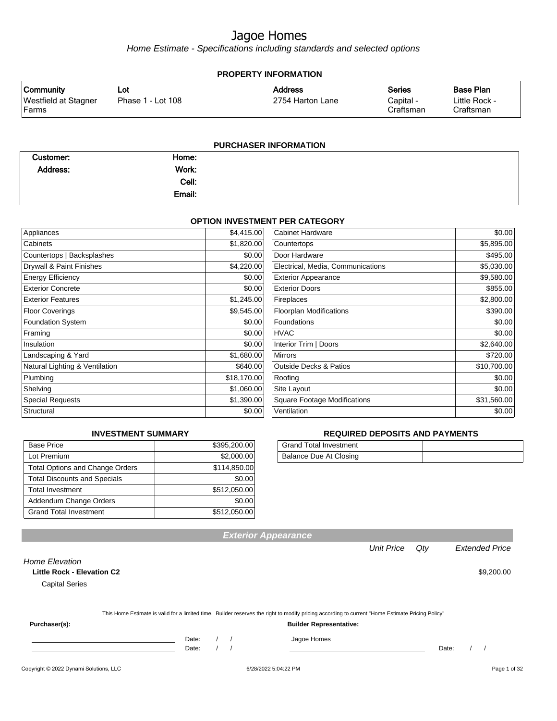Home Estimate - Specifications including standards and selected options

| <b>PROPERTY INFORMATION</b>          |                   |                  |                        |                            |
|--------------------------------------|-------------------|------------------|------------------------|----------------------------|
| <b>Community</b>                     | Lot               | <b>Address</b>   | <b>Series</b>          | <b>Base Plan</b>           |
| <b>Westfield at Stagner</b><br>Farms | Phase 1 - Lot 108 | 2754 Harton Lane | Capital -<br>Craftsman | Little Rock -<br>Craftsman |
|                                      |                   |                  |                        |                            |

| <b>PURCHASER INFORMATION</b> |        |  |  |
|------------------------------|--------|--|--|
| Customer:                    | Home:  |  |  |
| <b>Address:</b>              | Work:  |  |  |
|                              | Cell:  |  |  |
|                              | Email: |  |  |
|                              |        |  |  |

#### **OPTION INVESTMENT PER CATEGORY**

| Appliances                     | \$4,415.00  | <b>Cabinet Hardware</b>           | \$0.00      |
|--------------------------------|-------------|-----------------------------------|-------------|
| Cabinets                       | \$1,820.00  | Countertops                       | \$5,895.00  |
| Countertops   Backsplashes     | \$0.00      | Door Hardware                     | \$495.00    |
| Drywall & Paint Finishes       | \$4,220.00  | Electrical, Media, Communications | \$5,030.00  |
| <b>Energy Efficiency</b>       | \$0.00      | <b>Exterior Appearance</b>        | \$9,580.00  |
| <b>Exterior Concrete</b>       | \$0.00      | <b>Exterior Doors</b>             | \$855.00    |
| <b>Exterior Features</b>       | \$1,245.00  | Fireplaces                        | \$2,800.00  |
| <b>Floor Coverings</b>         | \$9,545.00  | <b>Floorplan Modifications</b>    | \$390.00    |
| <b>Foundation System</b>       | \$0.00      | Foundations                       | \$0.00      |
| Framing                        | \$0.00      | <b>HVAC</b>                       | \$0.00      |
| Insulation                     | \$0.00      | Interior Trim   Doors             | \$2,640.00  |
| Landscaping & Yard             | \$1,680.00  | <b>Mirrors</b>                    | \$720.00    |
| Natural Lighting & Ventilation | \$640.00    | Outside Decks & Patios            | \$10,700.00 |
| Plumbing                       | \$18,170.00 | Roofing                           | \$0.00      |
| Shelving                       | \$1,060.00  | Site Layout                       | \$0.00      |
| <b>Special Requests</b>        | \$1,390.00  | Square Footage Modifications      | \$31,560.00 |
| Structural                     | \$0.00      | Ventilation                       | \$0.00      |

#### **INVESTMENT SUMMARY**

| <b>Base Price</b>                      | \$395,200.00 |
|----------------------------------------|--------------|
| Lot Premium                            | \$2,000.00   |
| <b>Total Options and Change Orders</b> | \$114,850.00 |
| <b>Total Discounts and Specials</b>    | \$0.00       |
| <b>Total Investment</b>                | \$512,050.00 |
| Addendum Change Orders                 | \$0.00       |
| <b>Grand Total Investment</b>          | \$512,050.00 |

#### **REQUIRED DEPOSITS AND PAYMENTS**

| <b>Grand Total Investment</b> |  |
|-------------------------------|--|
| Balance Due At Closing        |  |

|                                   |       |  | <b>Exterior Appearance</b>                                                                                                                       |                   |     |       |                       |
|-----------------------------------|-------|--|--------------------------------------------------------------------------------------------------------------------------------------------------|-------------------|-----|-------|-----------------------|
|                                   |       |  |                                                                                                                                                  | <b>Unit Price</b> | Qty |       | <b>Extended Price</b> |
| Home Elevation                    |       |  |                                                                                                                                                  |                   |     |       |                       |
| <b>Little Rock - Elevation C2</b> |       |  |                                                                                                                                                  |                   |     |       | \$9,200.00            |
| <b>Capital Series</b>             |       |  |                                                                                                                                                  |                   |     |       |                       |
|                                   |       |  |                                                                                                                                                  |                   |     |       |                       |
|                                   |       |  | This Home Estimate is valid for a limited time. Builder reserves the right to modify pricing according to current "Home Estimate Pricing Policy" |                   |     |       |                       |
| Purchaser(s):                     |       |  | <b>Builder Representative:</b>                                                                                                                   |                   |     |       |                       |
|                                   | Date: |  | Jagoe Homes                                                                                                                                      |                   |     |       |                       |
|                                   | Date: |  |                                                                                                                                                  |                   |     | Date: |                       |
|                                   |       |  |                                                                                                                                                  |                   |     |       |                       |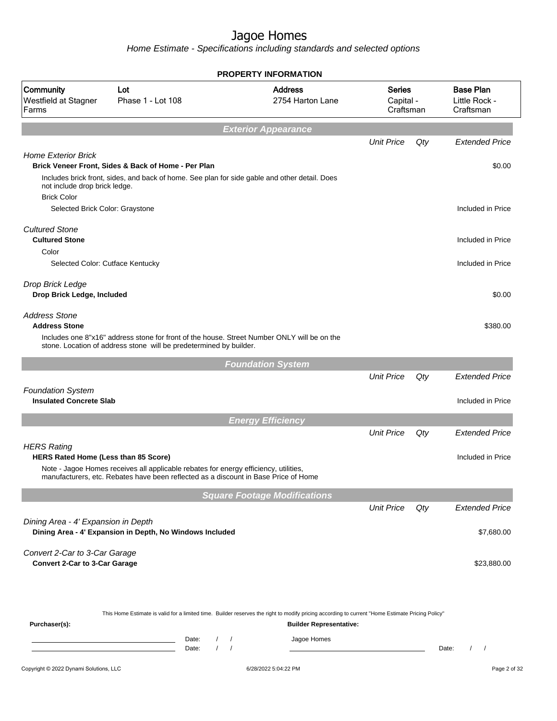|                                                                                   |                                                                                                                                                                             | <b>PROPERTY INFORMATION</b>                                                                                                                                                                                   |                                         |     |                                                |
|-----------------------------------------------------------------------------------|-----------------------------------------------------------------------------------------------------------------------------------------------------------------------------|---------------------------------------------------------------------------------------------------------------------------------------------------------------------------------------------------------------|-----------------------------------------|-----|------------------------------------------------|
| Community<br>Westfield at Stagner<br>Farms                                        | Lot<br>Phase 1 - Lot 108                                                                                                                                                    | <b>Address</b><br>2754 Harton Lane                                                                                                                                                                            | <b>Series</b><br>Capital -<br>Craftsman |     | <b>Base Plan</b><br>Little Rock -<br>Craftsman |
|                                                                                   |                                                                                                                                                                             | <b>Exterior Appearance</b>                                                                                                                                                                                    |                                         |     |                                                |
|                                                                                   |                                                                                                                                                                             |                                                                                                                                                                                                               | <b>Unit Price</b>                       | Qty | <b>Extended Price</b>                          |
| <b>Home Exterior Brick</b><br>not include drop brick ledge.<br><b>Brick Color</b> | Brick Veneer Front, Sides & Back of Home - Per Plan<br>Includes brick front, sides, and back of home. See plan for side gable and other detail. Does                        |                                                                                                                                                                                                               |                                         |     | \$0.00                                         |
| Selected Brick Color: Graystone                                                   |                                                                                                                                                                             |                                                                                                                                                                                                               |                                         |     | Included in Price                              |
| <b>Cultured Stone</b><br><b>Cultured Stone</b>                                    |                                                                                                                                                                             |                                                                                                                                                                                                               |                                         |     | Included in Price                              |
| Color<br>Selected Color: Cutface Kentucky                                         |                                                                                                                                                                             |                                                                                                                                                                                                               |                                         |     | Included in Price                              |
| Drop Brick Ledge<br>Drop Brick Ledge, Included                                    |                                                                                                                                                                             |                                                                                                                                                                                                               |                                         |     | \$0.00                                         |
| <b>Address Stone</b><br><b>Address Stone</b>                                      | Includes one 8"x16" address stone for front of the house. Street Number ONLY will be on the<br>stone. Location of address stone will be predetermined by builder.           |                                                                                                                                                                                                               |                                         |     | \$380.00                                       |
|                                                                                   |                                                                                                                                                                             | <b>Foundation System</b>                                                                                                                                                                                      |                                         |     |                                                |
|                                                                                   |                                                                                                                                                                             |                                                                                                                                                                                                               | <b>Unit Price</b>                       | Qty | <b>Extended Price</b>                          |
| <b>Foundation System</b><br><b>Insulated Concrete Slab</b>                        |                                                                                                                                                                             |                                                                                                                                                                                                               |                                         |     | Included in Price                              |
|                                                                                   |                                                                                                                                                                             | <b>Energy Efficiency</b>                                                                                                                                                                                      |                                         |     |                                                |
| <b>HERS Rating</b>                                                                |                                                                                                                                                                             |                                                                                                                                                                                                               | <b>Unit Price</b>                       | Qty | <b>Extended Price</b>                          |
| HERS Rated Home (Less than 85 Score)                                              | Note - Jagoe Homes receives all applicable rebates for energy efficiency, utilities,<br>manufacturers, etc. Rebates have been reflected as a discount in Base Price of Home |                                                                                                                                                                                                               |                                         |     | Included in Price                              |
|                                                                                   |                                                                                                                                                                             | <b>Square Footage Modifications</b>                                                                                                                                                                           |                                         |     |                                                |
|                                                                                   |                                                                                                                                                                             |                                                                                                                                                                                                               | <b>Unit Price</b>                       | Qty | <b>Extended Price</b>                          |
| Dining Area - 4' Expansion in Depth                                               | Dining Area - 4' Expansion in Depth, No Windows Included                                                                                                                    |                                                                                                                                                                                                               |                                         |     | \$7,680.00                                     |
| Convert 2-Car to 3-Car Garage<br><b>Convert 2-Car to 3-Car Garage</b>             |                                                                                                                                                                             |                                                                                                                                                                                                               |                                         |     | \$23,880.00                                    |
| Purchaser(s):                                                                     | Date:<br>$\left  \right $<br>$\sqrt{ }$<br>Date:                                                                                                                            | This Home Estimate is valid for a limited time. Builder reserves the right to modify pricing according to current "Home Estimate Pricing Policy"<br><b>Builder Representative:</b><br>Jagoe Homes<br>$\prime$ |                                         |     | Date:<br>$\prime$<br>$\sqrt{2}$                |
| Copyright © 2022 Dynami Solutions, LLC                                            |                                                                                                                                                                             | 6/28/2022 5:04:22 PM                                                                                                                                                                                          |                                         |     | Page 2 of 32                                   |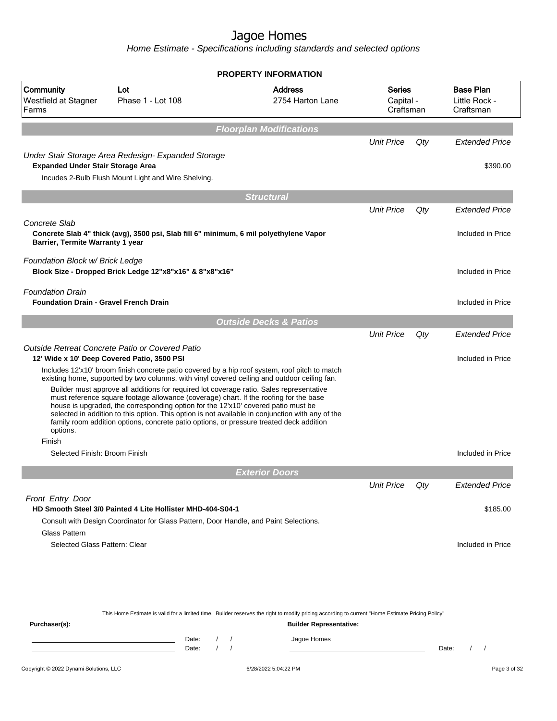Home Estimate - Specifications including standards and selected options

|                                                                          |                                                                                                                                                                                                                                                                                                                                                                                                                                                                                                                                                                                                                                                                                                                                                                           | <b>PROPERTY INFORMATION</b>        |                                         |     |                                                |
|--------------------------------------------------------------------------|---------------------------------------------------------------------------------------------------------------------------------------------------------------------------------------------------------------------------------------------------------------------------------------------------------------------------------------------------------------------------------------------------------------------------------------------------------------------------------------------------------------------------------------------------------------------------------------------------------------------------------------------------------------------------------------------------------------------------------------------------------------------------|------------------------------------|-----------------------------------------|-----|------------------------------------------------|
| Community<br>Westfield at Stagner<br>Farms                               | Lot<br>Phase 1 - Lot 108                                                                                                                                                                                                                                                                                                                                                                                                                                                                                                                                                                                                                                                                                                                                                  | <b>Address</b><br>2754 Harton Lane | <b>Series</b><br>Capital -<br>Craftsman |     | <b>Base Plan</b><br>Little Rock -<br>Craftsman |
|                                                                          |                                                                                                                                                                                                                                                                                                                                                                                                                                                                                                                                                                                                                                                                                                                                                                           | <b>Floorplan Modifications</b>     |                                         |     |                                                |
|                                                                          |                                                                                                                                                                                                                                                                                                                                                                                                                                                                                                                                                                                                                                                                                                                                                                           |                                    | <b>Unit Price</b>                       | Qty | <b>Extended Price</b>                          |
| <b>Expanded Under Stair Storage Area</b>                                 | Under Stair Storage Area Redesign- Expanded Storage<br>Incudes 2-Bulb Flush Mount Light and Wire Shelving.                                                                                                                                                                                                                                                                                                                                                                                                                                                                                                                                                                                                                                                                |                                    |                                         |     | \$390.00                                       |
|                                                                          |                                                                                                                                                                                                                                                                                                                                                                                                                                                                                                                                                                                                                                                                                                                                                                           | <b>Structural</b>                  |                                         |     |                                                |
|                                                                          |                                                                                                                                                                                                                                                                                                                                                                                                                                                                                                                                                                                                                                                                                                                                                                           |                                    | <b>Unit Price</b>                       | Qty | <b>Extended Price</b>                          |
| Concrete Slab<br>Barrier, Termite Warranty 1 year                        | Concrete Slab 4" thick (avg), 3500 psi, Slab fill 6" minimum, 6 mil polyethylene Vapor                                                                                                                                                                                                                                                                                                                                                                                                                                                                                                                                                                                                                                                                                    |                                    |                                         |     | Included in Price                              |
| Foundation Block w/ Brick Ledge                                          | Block Size - Dropped Brick Ledge 12"x8"x16" & 8"x8"x16"                                                                                                                                                                                                                                                                                                                                                                                                                                                                                                                                                                                                                                                                                                                   |                                    |                                         |     | Included in Price                              |
| <b>Foundation Drain</b><br><b>Foundation Drain - Gravel French Drain</b> |                                                                                                                                                                                                                                                                                                                                                                                                                                                                                                                                                                                                                                                                                                                                                                           |                                    |                                         |     | Included in Price                              |
|                                                                          |                                                                                                                                                                                                                                                                                                                                                                                                                                                                                                                                                                                                                                                                                                                                                                           | <b>Outside Decks &amp; Patios</b>  |                                         |     |                                                |
| options.<br>Finish                                                       | Outside Retreat Concrete Patio or Covered Patio<br>12' Wide x 10' Deep Covered Patio, 3500 PSI<br>Includes 12'x10' broom finish concrete patio covered by a hip roof system, roof pitch to match<br>existing home, supported by two columns, with vinyl covered ceiling and outdoor ceiling fan.<br>Builder must approve all additions for required lot coverage ratio. Sales representative<br>must reference square footage allowance (coverage) chart. If the roofing for the base<br>house is upgraded, the corresponding option for the 12'x10' covered patio must be<br>selected in addition to this option. This option is not available in conjunction with any of the<br>family room addition options, concrete patio options, or pressure treated deck addition |                                    | <b>Unit Price</b>                       | Qty | <b>Extended Price</b><br>Included in Price     |
| Selected Finish: Broom Finish                                            |                                                                                                                                                                                                                                                                                                                                                                                                                                                                                                                                                                                                                                                                                                                                                                           |                                    |                                         |     | Included in Price                              |
|                                                                          |                                                                                                                                                                                                                                                                                                                                                                                                                                                                                                                                                                                                                                                                                                                                                                           | <b>Exterior Doors</b>              |                                         |     |                                                |
|                                                                          |                                                                                                                                                                                                                                                                                                                                                                                                                                                                                                                                                                                                                                                                                                                                                                           |                                    | <b>Unit Price</b>                       | Qty | <b>Extended Price</b>                          |
| Front Entry Door                                                         | HD Smooth Steel 3/0 Painted 4 Lite Hollister MHD-404-S04-1<br>Consult with Design Coordinator for Glass Pattern, Door Handle, and Paint Selections.                                                                                                                                                                                                                                                                                                                                                                                                                                                                                                                                                                                                                       |                                    |                                         |     | \$185.00                                       |
| <b>Glass Pattern</b><br>Selected Glass Pattern: Clear                    |                                                                                                                                                                                                                                                                                                                                                                                                                                                                                                                                                                                                                                                                                                                                                                           |                                    |                                         |     | Included in Price                              |
|                                                                          |                                                                                                                                                                                                                                                                                                                                                                                                                                                                                                                                                                                                                                                                                                                                                                           |                                    |                                         |     |                                                |

This Home Estimate is valid for a limited time. Builder reserves the right to modify pricing according to current "Home Estimate Pricing Policy"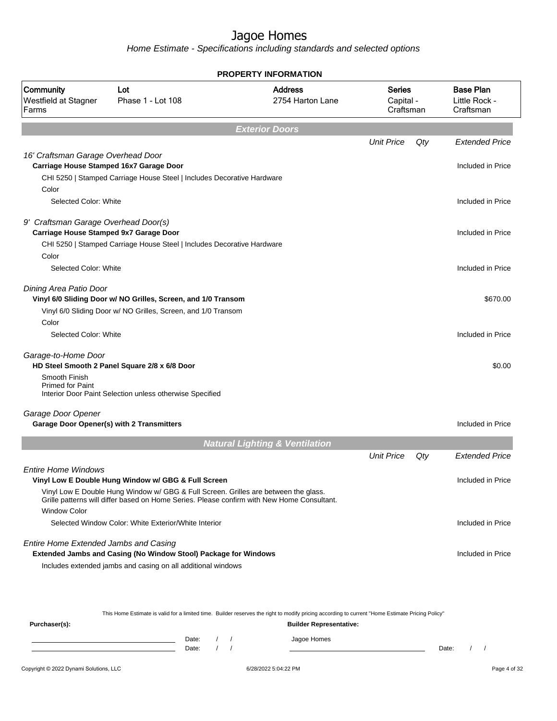Home Estimate - Specifications including standards and selected options

|                                            |                                                                                     | <b>PROPERTY INFORMATION</b>                                                                |                                         |     |                                                |
|--------------------------------------------|-------------------------------------------------------------------------------------|--------------------------------------------------------------------------------------------|-----------------------------------------|-----|------------------------------------------------|
| Community<br>Westfield at Stagner<br>Farms | Lot<br>Phase 1 - Lot 108                                                            | <b>Address</b><br>2754 Harton Lane                                                         | <b>Series</b><br>Capital -<br>Craftsman |     | <b>Base Plan</b><br>Little Rock -<br>Craftsman |
|                                            |                                                                                     | <b>Exterior Doors</b>                                                                      |                                         |     |                                                |
|                                            |                                                                                     |                                                                                            | <b>Unit Price</b>                       | Qty | <b>Extended Price</b>                          |
| 16' Craftsman Garage Overhead Door         |                                                                                     |                                                                                            |                                         |     |                                                |
|                                            | Carriage House Stamped 16x7 Garage Door                                             |                                                                                            |                                         |     | Included in Price                              |
| Color                                      | CHI 5250   Stamped Carriage House Steel   Includes Decorative Hardware              |                                                                                            |                                         |     |                                                |
| Selected Color: White                      |                                                                                     |                                                                                            |                                         |     | Included in Price                              |
|                                            |                                                                                     |                                                                                            |                                         |     |                                                |
| 9' Craftsman Garage Overhead Door(s)       |                                                                                     |                                                                                            |                                         |     |                                                |
| Carriage House Stamped 9x7 Garage Door     |                                                                                     |                                                                                            |                                         |     | Included in Price                              |
|                                            | CHI 5250   Stamped Carriage House Steel   Includes Decorative Hardware              |                                                                                            |                                         |     |                                                |
| Color<br>Selected Color: White             |                                                                                     |                                                                                            |                                         |     | Included in Price                              |
|                                            |                                                                                     |                                                                                            |                                         |     |                                                |
| Dining Area Patio Door                     |                                                                                     |                                                                                            |                                         |     |                                                |
|                                            | Vinyl 6/0 Sliding Door w/ NO Grilles, Screen, and 1/0 Transom                       |                                                                                            |                                         |     | \$670.00                                       |
|                                            | Vinyl 6/0 Sliding Door w/ NO Grilles, Screen, and 1/0 Transom                       |                                                                                            |                                         |     |                                                |
| Color                                      |                                                                                     |                                                                                            |                                         |     |                                                |
| Selected Color: White                      |                                                                                     |                                                                                            |                                         |     | Included in Price                              |
| Garage-to-Home Door                        |                                                                                     |                                                                                            |                                         |     |                                                |
|                                            | HD Steel Smooth 2 Panel Square 2/8 x 6/8 Door                                       |                                                                                            |                                         |     | \$0.00                                         |
| Smooth Finish<br><b>Primed for Paint</b>   |                                                                                     |                                                                                            |                                         |     |                                                |
|                                            | Interior Door Paint Selection unless otherwise Specified                            |                                                                                            |                                         |     |                                                |
|                                            |                                                                                     |                                                                                            |                                         |     |                                                |
| Garage Door Opener                         | <b>Garage Door Opener(s) with 2 Transmitters</b>                                    |                                                                                            |                                         |     | Included in Price                              |
|                                            |                                                                                     |                                                                                            |                                         |     |                                                |
|                                            |                                                                                     | <b>Natural Lighting &amp; Ventilation</b>                                                  |                                         |     |                                                |
|                                            |                                                                                     |                                                                                            | <b>Unit Price</b>                       | Qty | <b>Extended Price</b>                          |
| <b>Entire Home Windows</b>                 |                                                                                     |                                                                                            |                                         |     |                                                |
|                                            | Vinyl Low E Double Hung Window w/ GBG & Full Screen                                 |                                                                                            |                                         |     | Included in Price                              |
|                                            | Vinyl Low E Double Hung Window w/ GBG & Full Screen. Grilles are between the glass. | Grille patterns will differ based on Home Series. Please confirm with New Home Consultant. |                                         |     |                                                |
| <b>Window Color</b>                        |                                                                                     |                                                                                            |                                         |     |                                                |
|                                            | Selected Window Color: White Exterior/White Interior                                |                                                                                            |                                         |     | Included in Price                              |
|                                            |                                                                                     |                                                                                            |                                         |     |                                                |
| Entire Home Extended Jambs and Casing      | <b>Extended Jambs and Casing (No Window Stool) Package for Windows</b>              |                                                                                            |                                         |     | Included in Price                              |
|                                            | Includes extended jambs and casing on all additional windows                        |                                                                                            |                                         |     |                                                |
|                                            |                                                                                     |                                                                                            |                                         |     |                                                |

This Home Estimate is valid for a limited time. Builder reserves the right to modify pricing according to current "Home Estimate Pricing Policy"

| Jagoe Homes |       |
|-------------|-------|
|             | Date: |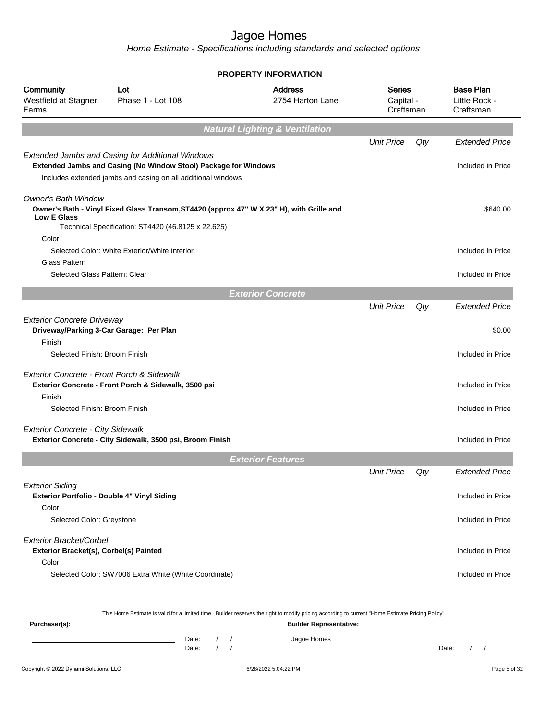|                                                                                        |                                                                                                                                                                                            | <b>PROPERTY INFORMATION</b>                                                                                                                                                                                     |                                  |     |                                                |
|----------------------------------------------------------------------------------------|--------------------------------------------------------------------------------------------------------------------------------------------------------------------------------------------|-----------------------------------------------------------------------------------------------------------------------------------------------------------------------------------------------------------------|----------------------------------|-----|------------------------------------------------|
| Community<br>Westfield at Stagner<br>Farms                                             | Lot<br>Phase 1 - Lot 108                                                                                                                                                                   | <b>Address</b><br>2754 Harton Lane                                                                                                                                                                              | Series<br>Capital -<br>Craftsman |     | <b>Base Plan</b><br>Little Rock -<br>Craftsman |
|                                                                                        |                                                                                                                                                                                            | <b>Natural Lighting &amp; Ventilation</b>                                                                                                                                                                       |                                  |     |                                                |
|                                                                                        |                                                                                                                                                                                            |                                                                                                                                                                                                                 | <b>Unit Price</b>                | Qty | <b>Extended Price</b>                          |
|                                                                                        | <b>Extended Jambs and Casing for Additional Windows</b><br>Extended Jambs and Casing (No Window Stool) Package for Windows<br>Includes extended jambs and casing on all additional windows |                                                                                                                                                                                                                 |                                  |     | Included in Price                              |
| <b>Owner's Bath Window</b><br><b>Low E Glass</b>                                       | Owner's Bath - Vinyl Fixed Glass Transom, ST4420 (approx 47" W X 23" H), with Grille and<br>Technical Specification: ST4420 (46.8125 x 22.625)                                             |                                                                                                                                                                                                                 |                                  |     | \$640.00                                       |
| Color<br>Glass Pattern                                                                 | Selected Color: White Exterior/White Interior                                                                                                                                              |                                                                                                                                                                                                                 |                                  |     | Included in Price                              |
| Selected Glass Pattern: Clear                                                          |                                                                                                                                                                                            |                                                                                                                                                                                                                 |                                  |     | Included in Price                              |
|                                                                                        |                                                                                                                                                                                            | <b>Exterior Concrete</b>                                                                                                                                                                                        |                                  |     |                                                |
|                                                                                        |                                                                                                                                                                                            |                                                                                                                                                                                                                 | <b>Unit Price</b>                | Qty | <b>Extended Price</b>                          |
| <b>Exterior Concrete Driveway</b><br>Driveway/Parking 3-Car Garage: Per Plan<br>Finish |                                                                                                                                                                                            |                                                                                                                                                                                                                 |                                  |     | \$0.00                                         |
| Selected Finish: Broom Finish                                                          |                                                                                                                                                                                            |                                                                                                                                                                                                                 |                                  |     | Included in Price                              |
| Exterior Concrete - Front Porch & Sidewalk<br>Finish                                   | Exterior Concrete - Front Porch & Sidewalk, 3500 psi                                                                                                                                       |                                                                                                                                                                                                                 |                                  |     | Included in Price                              |
| Selected Finish: Broom Finish                                                          |                                                                                                                                                                                            |                                                                                                                                                                                                                 |                                  |     | Included in Price                              |
| <b>Exterior Concrete - City Sidewalk</b>                                               | Exterior Concrete - City Sidewalk, 3500 psi, Broom Finish                                                                                                                                  |                                                                                                                                                                                                                 |                                  |     | Included in Price                              |
|                                                                                        |                                                                                                                                                                                            | <b>Exterior Features</b>                                                                                                                                                                                        |                                  |     |                                                |
|                                                                                        |                                                                                                                                                                                            |                                                                                                                                                                                                                 | <b>Unit Price</b>                | Qty | Extended Price                                 |
| <b>Exterior Siding</b><br>Exterior Portfolio - Double 4" Vinyl Siding<br>Color         |                                                                                                                                                                                            |                                                                                                                                                                                                                 |                                  |     | Included in Price                              |
| Selected Color: Greystone                                                              |                                                                                                                                                                                            |                                                                                                                                                                                                                 |                                  |     | Included in Price                              |
| Exterior Bracket/Corbel<br>Exterior Bracket(s), Corbel(s) Painted<br>Color             |                                                                                                                                                                                            |                                                                                                                                                                                                                 |                                  |     | Included in Price                              |
|                                                                                        | Selected Color: SW7006 Extra White (White Coordinate)                                                                                                                                      |                                                                                                                                                                                                                 |                                  |     | Included in Price                              |
| Purchaser(s):                                                                          | Date:                                                                                                                                                                                      | This Home Estimate is valid for a limited time. Builder reserves the right to modify pricing according to current "Home Estimate Pricing Policy"<br><b>Builder Representative:</b><br>Jagoe Homes<br>$\sqrt{2}$ |                                  |     |                                                |
|                                                                                        | Date:                                                                                                                                                                                      |                                                                                                                                                                                                                 |                                  |     | Date:<br>$\sqrt{ }$                            |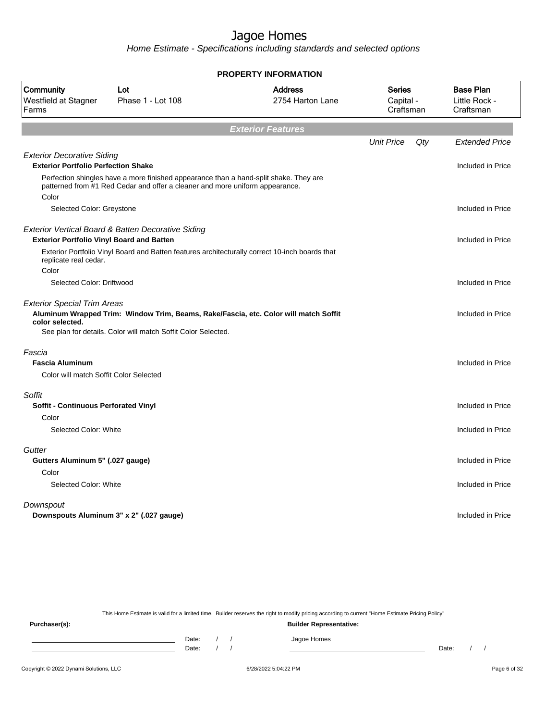Home Estimate - Specifications including standards and selected options

|                                                                                 |                                                                                                                                                                       | <b>PROPERTY INFORMATION</b>                                                          |                                  |                                                |
|---------------------------------------------------------------------------------|-----------------------------------------------------------------------------------------------------------------------------------------------------------------------|--------------------------------------------------------------------------------------|----------------------------------|------------------------------------------------|
| Community<br>Westfield at Stagner<br>Farms                                      | Lot<br>Phase 1 - Lot 108                                                                                                                                              | <b>Address</b><br>2754 Harton Lane                                                   | Series<br>Capital -<br>Craftsman | <b>Base Plan</b><br>Little Rock -<br>Craftsman |
|                                                                                 |                                                                                                                                                                       | <b>Exterior Features</b>                                                             |                                  |                                                |
|                                                                                 |                                                                                                                                                                       |                                                                                      | <b>Unit Price</b>                | Qty<br><b>Extended Price</b>                   |
| <b>Exterior Decorative Siding</b><br><b>Exterior Portfolio Perfection Shake</b> |                                                                                                                                                                       |                                                                                      |                                  | Included in Price                              |
|                                                                                 | Perfection shingles have a more finished appearance than a hand-split shake. They are<br>patterned from #1 Red Cedar and offer a cleaner and more uniform appearance. |                                                                                      |                                  |                                                |
| Color<br>Selected Color: Greystone                                              |                                                                                                                                                                       |                                                                                      |                                  | Included in Price                              |
| <b>Exterior Portfolio Vinyl Board and Batten</b>                                | Exterior Vertical Board & Batten Decorative Siding                                                                                                                    |                                                                                      |                                  | Included in Price                              |
| replicate real cedar.                                                           | Exterior Portfolio Vinyl Board and Batten features architecturally correct 10-inch boards that                                                                        |                                                                                      |                                  |                                                |
| Color<br>Selected Color: Driftwood                                              |                                                                                                                                                                       |                                                                                      |                                  | Included in Price                              |
| <b>Exterior Special Trim Areas</b>                                              |                                                                                                                                                                       |                                                                                      |                                  |                                                |
| color selected.                                                                 |                                                                                                                                                                       | Aluminum Wrapped Trim: Window Trim, Beams, Rake/Fascia, etc. Color will match Soffit |                                  | Included in Price                              |
|                                                                                 | See plan for details. Color will match Soffit Color Selected.                                                                                                         |                                                                                      |                                  |                                                |
| Fascia                                                                          |                                                                                                                                                                       |                                                                                      |                                  |                                                |
| <b>Fascia Aluminum</b>                                                          |                                                                                                                                                                       |                                                                                      |                                  | Included in Price                              |
| Color will match Soffit Color Selected                                          |                                                                                                                                                                       |                                                                                      |                                  |                                                |
| Soffit                                                                          |                                                                                                                                                                       |                                                                                      |                                  |                                                |
| <b>Soffit - Continuous Perforated Vinyl</b>                                     |                                                                                                                                                                       |                                                                                      |                                  | Included in Price                              |
| Color                                                                           |                                                                                                                                                                       |                                                                                      |                                  |                                                |
| Selected Color: White                                                           |                                                                                                                                                                       |                                                                                      |                                  | Included in Price                              |
| Gutter                                                                          |                                                                                                                                                                       |                                                                                      |                                  |                                                |
| Gutters Aluminum 5" (.027 gauge)                                                |                                                                                                                                                                       |                                                                                      |                                  | Included in Price                              |
| Color                                                                           |                                                                                                                                                                       |                                                                                      |                                  |                                                |
| Selected Color: White                                                           |                                                                                                                                                                       |                                                                                      |                                  | Included in Price                              |
| Downspout                                                                       | Downspouts Aluminum 3" x 2" (.027 gauge)                                                                                                                              |                                                                                      |                                  | Included in Price                              |
|                                                                                 |                                                                                                                                                                       |                                                                                      |                                  |                                                |

This Home Estimate is valid for a limited time. Builder reserves the right to modify pricing according to current "Home Estimate Pricing Policy"

**Purchaser(s): Builder Representative:** Date: / / Jagoe Homes<br>Date: / / Jagoe Homes Date: / / **Date: / / 2006** Date: / / / Date: / / /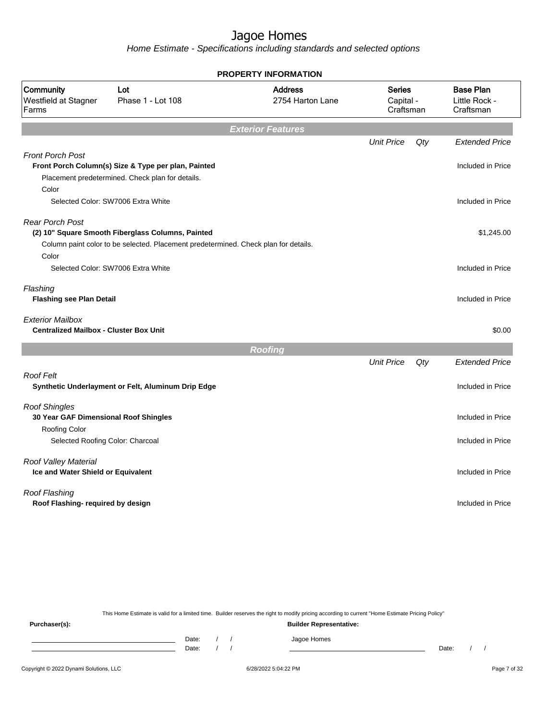Home Estimate - Specifications including standards and selected options

|                                                                          |                                                                                                                                          | <b>PROPERTY INFORMATION</b>        |                                         |     |                                                |
|--------------------------------------------------------------------------|------------------------------------------------------------------------------------------------------------------------------------------|------------------------------------|-----------------------------------------|-----|------------------------------------------------|
| Community<br>Westfield at Stagner<br>Farms                               | Lot<br>Phase 1 - Lot 108                                                                                                                 | <b>Address</b><br>2754 Harton Lane | <b>Series</b><br>Capital -<br>Craftsman |     | <b>Base Plan</b><br>Little Rock -<br>Craftsman |
|                                                                          |                                                                                                                                          | <b>Exterior Features</b>           |                                         |     |                                                |
|                                                                          |                                                                                                                                          |                                    | <b>Unit Price</b>                       | Qty | <b>Extended Price</b>                          |
| <b>Front Porch Post</b><br>Color                                         | Front Porch Column(s) Size & Type per plan, Painted<br>Placement predetermined. Check plan for details.                                  |                                    |                                         |     | Included in Price                              |
|                                                                          | Selected Color: SW7006 Extra White                                                                                                       |                                    |                                         |     | Included in Price                              |
|                                                                          |                                                                                                                                          |                                    |                                         |     |                                                |
| <b>Rear Porch Post</b>                                                   | (2) 10" Square Smooth Fiberglass Columns, Painted<br>Column paint color to be selected. Placement predetermined. Check plan for details. |                                    |                                         |     | \$1,245.00                                     |
| Color                                                                    | Selected Color: SW7006 Extra White                                                                                                       |                                    |                                         |     | Included in Price                              |
| Flashing<br><b>Flashing see Plan Detail</b>                              |                                                                                                                                          |                                    |                                         |     | Included in Price                              |
| <b>Exterior Mailbox</b><br><b>Centralized Mailbox - Cluster Box Unit</b> |                                                                                                                                          |                                    |                                         |     | \$0.00                                         |
|                                                                          |                                                                                                                                          | <b>Roofing</b>                     |                                         |     |                                                |
|                                                                          |                                                                                                                                          |                                    | <b>Unit Price</b>                       | Qty | <b>Extended Price</b>                          |
| <b>Roof Felt</b>                                                         | Synthetic Underlayment or Felt, Aluminum Drip Edge                                                                                       |                                    |                                         |     | Included in Price                              |
| <b>Roof Shingles</b><br>30 Year GAF Dimensional Roof Shingles            |                                                                                                                                          |                                    |                                         |     | Included in Price                              |
| <b>Roofing Color</b><br>Selected Roofing Color: Charcoal                 |                                                                                                                                          |                                    |                                         |     | Included in Price                              |
| Roof Valley Material<br>Ice and Water Shield or Equivalent               |                                                                                                                                          |                                    |                                         |     | Included in Price                              |
| Roof Flashing<br>Roof Flashing- required by design                       |                                                                                                                                          |                                    |                                         |     | Included in Price                              |
|                                                                          |                                                                                                                                          |                                    |                                         |     |                                                |

This Home Estimate is valid for a limited time. Builder reserves the right to modify pricing according to current "Home Estimate Pricing Policy"

**Purchaser(s): Builder Representative:** Date: / / Jagoe Homes<br>Date: / / Jagoe Homes Date: / / **Date: / / 2006** Date: / / / Date: / / /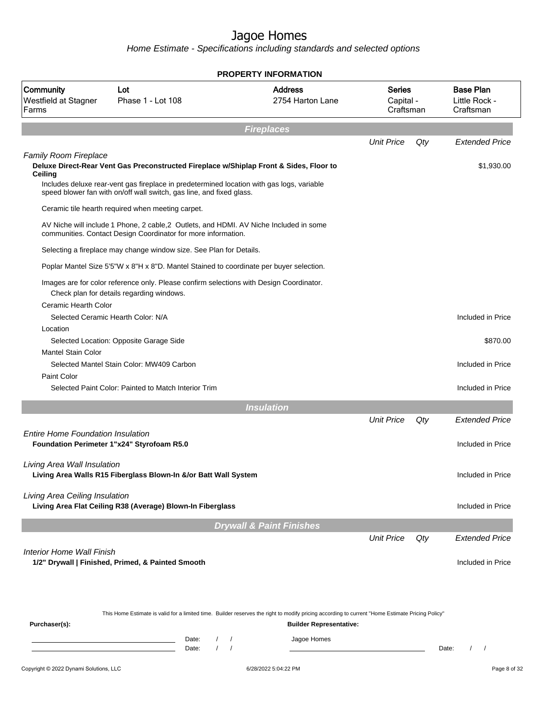Home Estimate - Specifications including standards and selected options

|                                            |                                                                                                                                                                                                                                                             | <b>PROPERTY INFORMATION</b>                                                                                                                      |                                  |     |                                                |
|--------------------------------------------|-------------------------------------------------------------------------------------------------------------------------------------------------------------------------------------------------------------------------------------------------------------|--------------------------------------------------------------------------------------------------------------------------------------------------|----------------------------------|-----|------------------------------------------------|
| Community<br>Westfield at Stagner<br>Farms | Lot<br>Phase 1 - Lot 108                                                                                                                                                                                                                                    | <b>Address</b><br>2754 Harton Lane                                                                                                               | Series<br>Capital -<br>Craftsman |     | <b>Base Plan</b><br>Little Rock -<br>Craftsman |
|                                            |                                                                                                                                                                                                                                                             | <b>Fireplaces</b>                                                                                                                                |                                  |     |                                                |
|                                            |                                                                                                                                                                                                                                                             |                                                                                                                                                  | <b>Unit Price</b>                | Qty | <b>Extended Price</b>                          |
| <b>Family Room Fireplace</b><br>Ceiling    | Deluxe Direct-Rear Vent Gas Preconstructed Fireplace w/Shiplap Front & Sides, Floor to<br>Includes deluxe rear-vent gas fireplace in predetermined location with gas logs, variable<br>speed blower fan with on/off wall switch, gas line, and fixed glass. |                                                                                                                                                  |                                  |     | \$1,930.00                                     |
|                                            | Ceramic tile hearth required when meeting carpet.                                                                                                                                                                                                           |                                                                                                                                                  |                                  |     |                                                |
|                                            | AV Niche will include 1 Phone, 2 cable, 2 Outlets, and HDMI. AV Niche Included in some<br>communities. Contact Design Coordinator for more information.                                                                                                     |                                                                                                                                                  |                                  |     |                                                |
|                                            | Selecting a fireplace may change window size. See Plan for Details.                                                                                                                                                                                         |                                                                                                                                                  |                                  |     |                                                |
|                                            | Poplar Mantel Size 5'5"W x 8"H x 8"D. Mantel Stained to coordinate per buyer selection.                                                                                                                                                                     |                                                                                                                                                  |                                  |     |                                                |
|                                            | Images are for color reference only. Please confirm selections with Design Coordinator.<br>Check plan for details regarding windows.                                                                                                                        |                                                                                                                                                  |                                  |     |                                                |
| Ceramic Hearth Color                       | Selected Ceramic Hearth Color: N/A                                                                                                                                                                                                                          |                                                                                                                                                  |                                  |     | Included in Price                              |
| Location                                   | Selected Location: Opposite Garage Side                                                                                                                                                                                                                     |                                                                                                                                                  |                                  |     | \$870.00                                       |
| <b>Mantel Stain Color</b>                  | Selected Mantel Stain Color: MW409 Carbon                                                                                                                                                                                                                   |                                                                                                                                                  |                                  |     | Included in Price                              |
| Paint Color                                | Selected Paint Color: Painted to Match Interior Trim                                                                                                                                                                                                        |                                                                                                                                                  |                                  |     | Included in Price                              |
|                                            |                                                                                                                                                                                                                                                             | <b>Insulation</b>                                                                                                                                |                                  |     |                                                |
|                                            |                                                                                                                                                                                                                                                             |                                                                                                                                                  | <b>Unit Price</b>                | Qty | <b>Extended Price</b>                          |
| <b>Entire Home Foundation Insulation</b>   | Foundation Perimeter 1"x24" Styrofoam R5.0                                                                                                                                                                                                                  |                                                                                                                                                  |                                  |     | Included in Price                              |
| Living Area Wall Insulation                | Living Area Walls R15 Fiberglass Blown-In &/or Batt Wall System                                                                                                                                                                                             |                                                                                                                                                  |                                  |     | Included in Price                              |
| Living Area Ceiling Insulation             | Living Area Flat Ceiling R38 (Average) Blown-In Fiberglass                                                                                                                                                                                                  |                                                                                                                                                  |                                  |     | Included in Price                              |
|                                            |                                                                                                                                                                                                                                                             | <b>Drywall &amp; Paint Finishes</b>                                                                                                              |                                  |     |                                                |
|                                            |                                                                                                                                                                                                                                                             |                                                                                                                                                  | <b>Unit Price</b>                | Qty | <b>Extended Price</b>                          |
| <b>Interior Home Wall Finish</b>           | 1/2" Drywall   Finished, Primed, & Painted Smooth                                                                                                                                                                                                           |                                                                                                                                                  |                                  |     | Included in Price                              |
|                                            |                                                                                                                                                                                                                                                             |                                                                                                                                                  |                                  |     |                                                |
|                                            |                                                                                                                                                                                                                                                             | This Home Estimate is valid for a limited time. Builder reserves the right to modify pricing according to current "Home Estimate Pricing Policy" |                                  |     |                                                |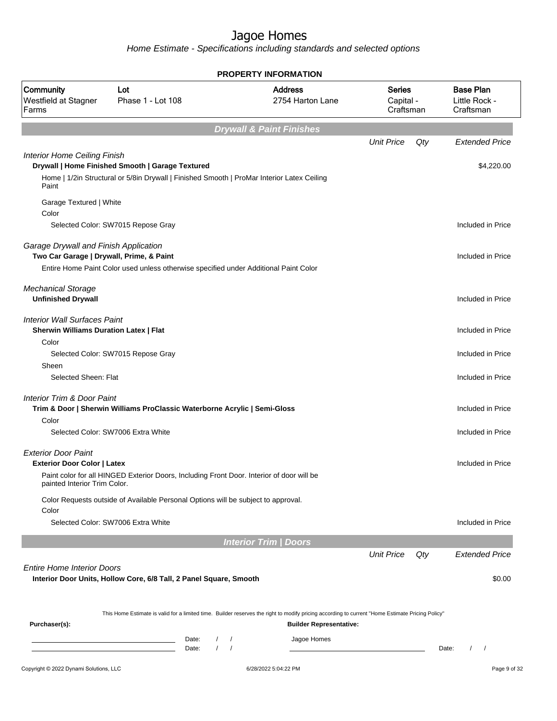|                                                                                      |                                                                                                         | <b>PROPERTY INFORMATION</b>                                                                                                                      |                                         |     |                                                |
|--------------------------------------------------------------------------------------|---------------------------------------------------------------------------------------------------------|--------------------------------------------------------------------------------------------------------------------------------------------------|-----------------------------------------|-----|------------------------------------------------|
| Community<br>Westfield at Stagner<br>Farms                                           | Lot<br>Phase 1 - Lot 108                                                                                | <b>Address</b><br>2754 Harton Lane                                                                                                               | <b>Series</b><br>Capital -<br>Craftsman |     | <b>Base Plan</b><br>Little Rock -<br>Craftsman |
|                                                                                      |                                                                                                         | <b>Drywall &amp; Paint Finishes</b>                                                                                                              |                                         |     |                                                |
|                                                                                      |                                                                                                         |                                                                                                                                                  | <b>Unit Price</b>                       | Qty | <b>Extended Price</b>                          |
| <b>Interior Home Ceiling Finish</b>                                                  | Drywall   Home Finished Smooth   Garage Textured                                                        |                                                                                                                                                  |                                         |     | \$4,220.00                                     |
| Paint                                                                                | Home   1/2in Structural or 5/8in Drywall   Finished Smooth   ProMar Interior Latex Ceiling              |                                                                                                                                                  |                                         |     |                                                |
| Garage Textured   White<br>Color                                                     |                                                                                                         |                                                                                                                                                  |                                         |     |                                                |
|                                                                                      | Selected Color: SW7015 Repose Gray                                                                      |                                                                                                                                                  |                                         |     | Included in Price                              |
| Garage Drywall and Finish Application<br>Two Car Garage   Drywall, Prime, & Paint    |                                                                                                         |                                                                                                                                                  |                                         |     | Included in Price                              |
|                                                                                      | Entire Home Paint Color used unless otherwise specified under Additional Paint Color                    |                                                                                                                                                  |                                         |     |                                                |
| <b>Mechanical Storage</b>                                                            |                                                                                                         |                                                                                                                                                  |                                         |     |                                                |
| <b>Unfinished Drywall</b>                                                            |                                                                                                         |                                                                                                                                                  |                                         |     | Included in Price                              |
| <b>Interior Wall Surfaces Paint</b><br><b>Sherwin Williams Duration Latex   Flat</b> |                                                                                                         |                                                                                                                                                  |                                         |     | Included in Price                              |
| Color                                                                                |                                                                                                         |                                                                                                                                                  |                                         |     |                                                |
| Sheen                                                                                | Selected Color: SW7015 Repose Gray                                                                      |                                                                                                                                                  |                                         |     | Included in Price                              |
| Selected Sheen: Flat                                                                 |                                                                                                         |                                                                                                                                                  |                                         |     | Included in Price                              |
| Interior Trim & Door Paint<br>Color                                                  | Trim & Door   Sherwin Williams ProClassic Waterborne Acrylic   Semi-Gloss                               |                                                                                                                                                  |                                         |     | Included in Price                              |
|                                                                                      | Selected Color: SW7006 Extra White                                                                      |                                                                                                                                                  |                                         |     | Included in Price                              |
| <b>Exterior Door Paint</b><br><b>Exterior Door Color   Latex</b>                     |                                                                                                         |                                                                                                                                                  |                                         |     | Included in Price                              |
| painted Interior Trim Color.                                                         | Paint color for all HINGED Exterior Doors, Including Front Door. Interior of door will be               |                                                                                                                                                  |                                         |     |                                                |
| Color                                                                                | Color Requests outside of Available Personal Options will be subject to approval.                       |                                                                                                                                                  |                                         |     |                                                |
|                                                                                      | Selected Color: SW7006 Extra White                                                                      |                                                                                                                                                  |                                         |     | Included in Price                              |
|                                                                                      |                                                                                                         | <b>Interior Trim / Doors</b>                                                                                                                     |                                         |     |                                                |
|                                                                                      |                                                                                                         |                                                                                                                                                  | <b>Unit Price</b>                       | Qty | <b>Extended Price</b>                          |
| <b>Entire Home Interior Doors</b>                                                    | Interior Door Units, Hollow Core, 6/8 Tall, 2 Panel Square, Smooth                                      |                                                                                                                                                  |                                         |     | \$0.00                                         |
|                                                                                      |                                                                                                         | This Home Estimate is valid for a limited time. Builder reserves the right to modify pricing according to current "Home Estimate Pricing Policy" |                                         |     |                                                |
| Purchaser(s):                                                                        |                                                                                                         | <b>Builder Representative:</b>                                                                                                                   |                                         |     |                                                |
|                                                                                      | Date:<br>$\sqrt{2}$<br><u> 1989 - Johann Barn, mars eta bainar eta idazlea (</u><br>$\sqrt{ }$<br>Date: | Jagoe Homes<br>$\prime$                                                                                                                          |                                         |     | Date:<br>$\prime$<br>$\prime$                  |
| Copyright © 2022 Dynami Solutions, LLC                                               |                                                                                                         | 6/28/2022 5:04:22 PM                                                                                                                             |                                         |     | Page 9 of 32                                   |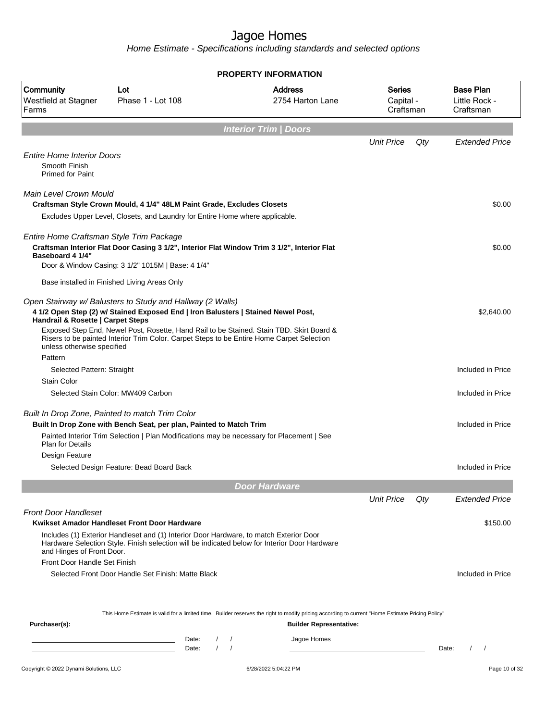|                                                                               |                                                                                                                                                                                         | <b>PROPERTY INFORMATION</b>                                                                                                                      |                                  |                                                |
|-------------------------------------------------------------------------------|-----------------------------------------------------------------------------------------------------------------------------------------------------------------------------------------|--------------------------------------------------------------------------------------------------------------------------------------------------|----------------------------------|------------------------------------------------|
| Community<br>Westfield at Stagner<br>Farms                                    | Lot<br>Phase 1 - Lot 108                                                                                                                                                                | <b>Address</b><br>2754 Harton Lane                                                                                                               | Series<br>Capital -<br>Craftsman | <b>Base Plan</b><br>Little Rock -<br>Craftsman |
|                                                                               |                                                                                                                                                                                         | <b>Interior Trim / Doors</b>                                                                                                                     |                                  |                                                |
|                                                                               |                                                                                                                                                                                         |                                                                                                                                                  | <b>Unit Price</b>                | Qty<br><b>Extended Price</b>                   |
| <b>Entire Home Interior Doors</b><br>Smooth Finish<br><b>Primed for Paint</b> |                                                                                                                                                                                         |                                                                                                                                                  |                                  |                                                |
|                                                                               |                                                                                                                                                                                         |                                                                                                                                                  |                                  |                                                |
| Main Level Crown Mould                                                        | Craftsman Style Crown Mould, 4 1/4" 48LM Paint Grade, Excludes Closets                                                                                                                  |                                                                                                                                                  |                                  | \$0.00                                         |
|                                                                               | Excludes Upper Level, Closets, and Laundry for Entire Home where applicable.                                                                                                            |                                                                                                                                                  |                                  |                                                |
|                                                                               |                                                                                                                                                                                         |                                                                                                                                                  |                                  |                                                |
| Entire Home Craftsman Style Trim Package                                      |                                                                                                                                                                                         |                                                                                                                                                  |                                  |                                                |
| Baseboard 4 1/4"                                                              | Craftsman Interior Flat Door Casing 3 1/2", Interior Flat Window Trim 3 1/2", Interior Flat<br>Door & Window Casing: 3 1/2" 1015M   Base: 4 1/4"                                        |                                                                                                                                                  |                                  | \$0.00                                         |
|                                                                               | Base installed in Finished Living Areas Only                                                                                                                                            |                                                                                                                                                  |                                  |                                                |
|                                                                               |                                                                                                                                                                                         |                                                                                                                                                  |                                  |                                                |
| Handrail & Rosette   Carpet Steps                                             | Open Stairway w/ Balusters to Study and Hallway (2 Walls)<br>4 1/2 Open Step (2) w/ Stained Exposed End   Iron Balusters   Stained Newel Post,                                          |                                                                                                                                                  |                                  | \$2,640.00                                     |
| unless otherwise specified                                                    | Exposed Step End, Newel Post, Rosette, Hand Rail to be Stained. Stain TBD. Skirt Board &<br>Risers to be painted Interior Trim Color. Carpet Steps to be Entire Home Carpet Selection   |                                                                                                                                                  |                                  |                                                |
| Pattern                                                                       |                                                                                                                                                                                         |                                                                                                                                                  |                                  | Included in Price                              |
| Selected Pattern: Straight<br><b>Stain Color</b>                              |                                                                                                                                                                                         |                                                                                                                                                  |                                  |                                                |
|                                                                               | Selected Stain Color: MW409 Carbon                                                                                                                                                      |                                                                                                                                                  |                                  | Included in Price                              |
|                                                                               |                                                                                                                                                                                         |                                                                                                                                                  |                                  |                                                |
|                                                                               | Built In Drop Zone, Painted to match Trim Color                                                                                                                                         |                                                                                                                                                  |                                  |                                                |
|                                                                               | Built In Drop Zone with Bench Seat, per plan, Painted to Match Trim                                                                                                                     |                                                                                                                                                  |                                  | Included in Price                              |
| <b>Plan for Details</b>                                                       | Painted Interior Trim Selection   Plan Modifications may be necessary for Placement   See                                                                                               |                                                                                                                                                  |                                  |                                                |
| Design Feature                                                                |                                                                                                                                                                                         |                                                                                                                                                  |                                  |                                                |
|                                                                               | Selected Design Feature: Bead Board Back                                                                                                                                                |                                                                                                                                                  |                                  | Included in Price                              |
|                                                                               |                                                                                                                                                                                         | <b>Door Hardware</b>                                                                                                                             |                                  |                                                |
|                                                                               |                                                                                                                                                                                         |                                                                                                                                                  | <b>Unit Price</b>                | Qty<br><b>Extended Price</b>                   |
| <b>Front Door Handleset</b>                                                   |                                                                                                                                                                                         |                                                                                                                                                  |                                  |                                                |
|                                                                               | Kwikset Amador Handleset Front Door Hardware                                                                                                                                            |                                                                                                                                                  |                                  | \$150.00                                       |
| and Hinges of Front Door.                                                     | Includes (1) Exterior Handleset and (1) Interior Door Hardware, to match Exterior Door<br>Hardware Selection Style. Finish selection will be indicated below for Interior Door Hardware |                                                                                                                                                  |                                  |                                                |
| Front Door Handle Set Finish                                                  |                                                                                                                                                                                         |                                                                                                                                                  |                                  |                                                |
|                                                                               | Selected Front Door Handle Set Finish: Matte Black                                                                                                                                      |                                                                                                                                                  |                                  | Included in Price                              |
|                                                                               |                                                                                                                                                                                         |                                                                                                                                                  |                                  |                                                |
|                                                                               |                                                                                                                                                                                         | This Home Estimate is valid for a limited time. Builder reserves the right to modify pricing according to current "Home Estimate Pricing Policy" |                                  |                                                |
| Purchaser(s):                                                                 |                                                                                                                                                                                         | <b>Builder Representative:</b>                                                                                                                   |                                  |                                                |
|                                                                               | Date:                                                                                                                                                                                   | Jagoe Homes<br>$\prime$                                                                                                                          |                                  |                                                |
|                                                                               | Date:                                                                                                                                                                                   |                                                                                                                                                  |                                  | Date:<br>$\left  \right $                      |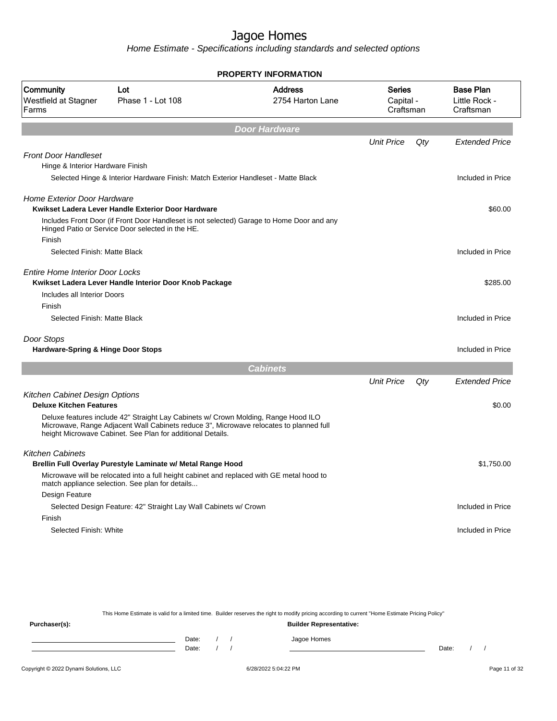Home Estimate - Specifications including standards and selected options

|                                            |                                                                                                                                                                                                                                            | PROPERTY INFORMATION               |                                  |     |                                                |
|--------------------------------------------|--------------------------------------------------------------------------------------------------------------------------------------------------------------------------------------------------------------------------------------------|------------------------------------|----------------------------------|-----|------------------------------------------------|
| Community<br>Westfield at Stagner<br>Farms | Lot<br>Phase 1 - Lot 108                                                                                                                                                                                                                   | <b>Address</b><br>2754 Harton Lane | Series<br>Capital -<br>Craftsman |     | <b>Base Plan</b><br>Little Rock -<br>Craftsman |
|                                            |                                                                                                                                                                                                                                            | <b>Door Hardware</b>               |                                  |     |                                                |
|                                            |                                                                                                                                                                                                                                            |                                    | <b>Unit Price</b>                | Qty | <b>Extended Price</b>                          |
| <b>Front Door Handleset</b>                |                                                                                                                                                                                                                                            |                                    |                                  |     |                                                |
| Hinge & Interior Hardware Finish           |                                                                                                                                                                                                                                            |                                    |                                  |     |                                                |
|                                            | Selected Hinge & Interior Hardware Finish: Match Exterior Handleset - Matte Black                                                                                                                                                          |                                    |                                  |     | Included in Price                              |
| <b>Home Exterior Door Hardware</b>         |                                                                                                                                                                                                                                            |                                    |                                  |     |                                                |
|                                            | Kwikset Ladera Lever Handle Exterior Door Hardware                                                                                                                                                                                         |                                    |                                  |     | \$60.00                                        |
| Finish                                     | Includes Front Door (if Front Door Handleset is not selected) Garage to Home Door and any<br>Hinged Patio or Service Door selected in the HE.                                                                                              |                                    |                                  |     |                                                |
| Selected Finish: Matte Black               |                                                                                                                                                                                                                                            |                                    |                                  |     | Included in Price                              |
|                                            |                                                                                                                                                                                                                                            |                                    |                                  |     |                                                |
| <b>Entire Home Interior Door Locks</b>     | Kwikset Ladera Lever Handle Interior Door Knob Package                                                                                                                                                                                     |                                    |                                  |     | \$285.00                                       |
| Includes all Interior Doors                |                                                                                                                                                                                                                                            |                                    |                                  |     |                                                |
| Finish                                     |                                                                                                                                                                                                                                            |                                    |                                  |     |                                                |
| Selected Finish: Matte Black               |                                                                                                                                                                                                                                            |                                    |                                  |     | Included in Price                              |
| Door Stops                                 |                                                                                                                                                                                                                                            |                                    |                                  |     |                                                |
| Hardware-Spring & Hinge Door Stops         |                                                                                                                                                                                                                                            |                                    |                                  |     | Included in Price                              |
|                                            |                                                                                                                                                                                                                                            | <b>Cabinets</b>                    |                                  |     |                                                |
|                                            |                                                                                                                                                                                                                                            |                                    | <b>Unit Price</b>                | Qty | <b>Extended Price</b>                          |
| Kitchen Cabinet Design Options             |                                                                                                                                                                                                                                            |                                    |                                  |     |                                                |
| <b>Deluxe Kitchen Features</b>             |                                                                                                                                                                                                                                            |                                    |                                  |     | \$0.00                                         |
|                                            | Deluxe features include 42" Straight Lay Cabinets w/ Crown Molding, Range Hood ILO<br>Microwave, Range Adjacent Wall Cabinets reduce 3", Microwave relocates to planned full<br>height Microwave Cabinet. See Plan for additional Details. |                                    |                                  |     |                                                |
| <b>Kitchen Cabinets</b>                    |                                                                                                                                                                                                                                            |                                    |                                  |     |                                                |
|                                            | Brellin Full Overlay Purestyle Laminate w/ Metal Range Hood                                                                                                                                                                                |                                    |                                  |     | \$1,750.00                                     |
|                                            | Microwave will be relocated into a full height cabinet and replaced with GE metal hood to<br>match appliance selection. See plan for details                                                                                               |                                    |                                  |     |                                                |
| Design Feature                             |                                                                                                                                                                                                                                            |                                    |                                  |     |                                                |
|                                            | Selected Design Feature: 42" Straight Lay Wall Cabinets w/ Crown                                                                                                                                                                           |                                    |                                  |     | Included in Price                              |
| Finish                                     |                                                                                                                                                                                                                                            |                                    |                                  |     |                                                |
| Selected Finish: White                     |                                                                                                                                                                                                                                            |                                    |                                  |     | Included in Price                              |
|                                            |                                                                                                                                                                                                                                            |                                    |                                  |     |                                                |

This Home Estimate is valid for a limited time. Builder reserves the right to modify pricing according to current "Home Estimate Pricing Policy" **Purchaser(s): Builder Representative:** Date: / / Jagoe Homes<br>Date: / / Jagoe Homes Date: / / **Date: / / 2006** Date: / / / Date: / / /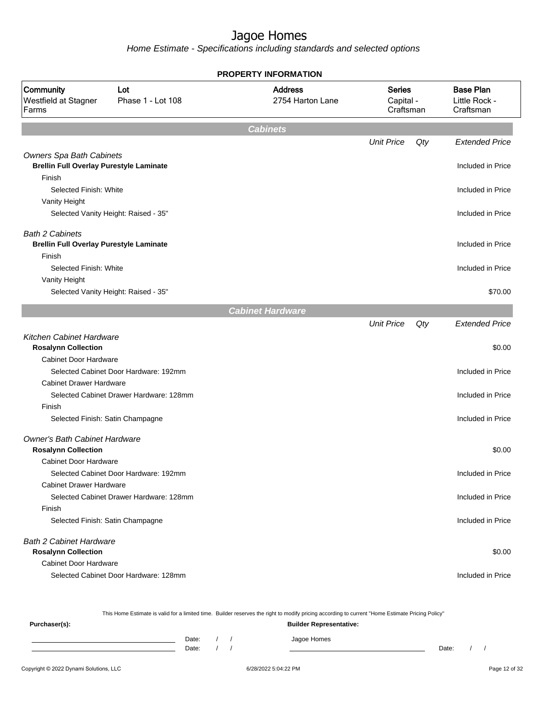Home Estimate - Specifications including standards and selected options

This Home Estimate is valid for a limited time. Builder reserves the right to modify pricing according to current "Home Estimate Pricing Policy"

| Purchaser(s): |                |  | <b>Builder Representative:</b> |       |  |
|---------------|----------------|--|--------------------------------|-------|--|
|               | Date:<br>Date: |  | Jagoe Homes                    | Date: |  |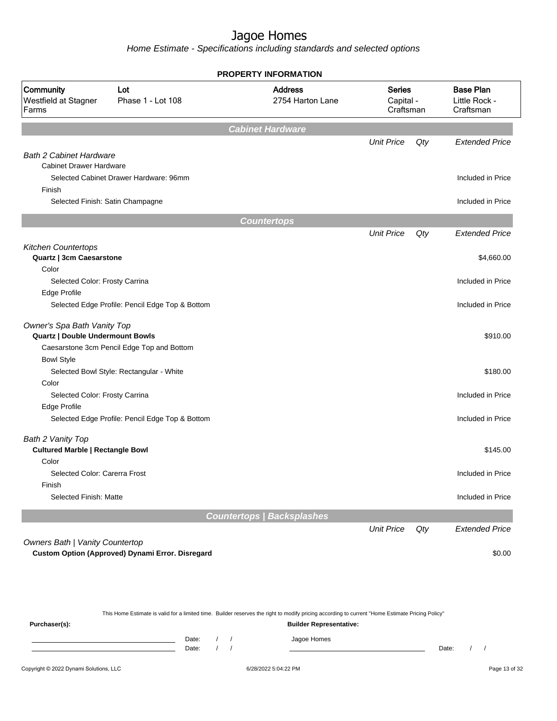Home Estimate - Specifications including standards and selected options

|                                            |                                                  | <b>PROPERTY INFORMATION</b>        |                                         |     |                                                |
|--------------------------------------------|--------------------------------------------------|------------------------------------|-----------------------------------------|-----|------------------------------------------------|
| Community<br>Westfield at Stagner<br>Farms | Lot<br>Phase 1 - Lot 108                         | <b>Address</b><br>2754 Harton Lane | <b>Series</b><br>Capital -<br>Craftsman |     | <b>Base Plan</b><br>Little Rock -<br>Craftsman |
|                                            |                                                  | <b>Cabinet Hardware</b>            |                                         |     |                                                |
|                                            |                                                  |                                    | <b>Unit Price</b>                       | Qty | <b>Extended Price</b>                          |
| <b>Bath 2 Cabinet Hardware</b>             |                                                  |                                    |                                         |     |                                                |
| <b>Cabinet Drawer Hardware</b>             |                                                  |                                    |                                         |     |                                                |
|                                            | Selected Cabinet Drawer Hardware: 96mm           |                                    |                                         |     | Included in Price                              |
| Finish                                     |                                                  |                                    |                                         |     |                                                |
|                                            | Selected Finish: Satin Champagne                 |                                    |                                         |     | Included in Price                              |
|                                            |                                                  | <b>Countertops</b>                 |                                         |     |                                                |
|                                            |                                                  |                                    | <b>Unit Price</b>                       | Qty | <b>Extended Price</b>                          |
| <b>Kitchen Countertops</b>                 |                                                  |                                    |                                         |     |                                                |
| Quartz   3cm Caesarstone                   |                                                  |                                    |                                         |     | \$4,660.00                                     |
| Color                                      |                                                  |                                    |                                         |     |                                                |
| Selected Color: Frosty Carrina             |                                                  |                                    |                                         |     | Included in Price                              |
| <b>Edge Profile</b>                        |                                                  |                                    |                                         |     |                                                |
|                                            | Selected Edge Profile: Pencil Edge Top & Bottom  |                                    |                                         |     | Included in Price                              |
| Owner's Spa Bath Vanity Top                |                                                  |                                    |                                         |     |                                                |
| <b>Quartz   Double Undermount Bowls</b>    |                                                  |                                    |                                         |     | \$910.00                                       |
|                                            | Caesarstone 3cm Pencil Edge Top and Bottom       |                                    |                                         |     |                                                |
| <b>Bowl Style</b>                          |                                                  |                                    |                                         |     |                                                |
|                                            | Selected Bowl Style: Rectangular - White         |                                    |                                         |     | \$180.00                                       |
| Color                                      |                                                  |                                    |                                         |     |                                                |
| Selected Color: Frosty Carrina             |                                                  |                                    |                                         |     | Included in Price                              |
| <b>Edge Profile</b>                        |                                                  |                                    |                                         |     |                                                |
|                                            | Selected Edge Profile: Pencil Edge Top & Bottom  |                                    |                                         |     | Included in Price                              |
| Bath 2 Vanity Top                          |                                                  |                                    |                                         |     |                                                |
| <b>Cultured Marble   Rectangle Bowl</b>    |                                                  |                                    |                                         |     | \$145.00                                       |
| Color                                      |                                                  |                                    |                                         |     |                                                |
| Selected Color: Carerra Frost              |                                                  |                                    |                                         |     | Included in Price                              |
| Finish                                     |                                                  |                                    |                                         |     |                                                |
| Selected Finish: Matte                     |                                                  |                                    |                                         |     | Included in Price                              |
|                                            |                                                  | <b>Countertops / Backsplashes</b>  |                                         |     |                                                |
|                                            |                                                  |                                    | <b>Unit Price</b>                       | Qty | <b>Extended Price</b>                          |
| Owners Bath   Vanity Countertop            |                                                  |                                    |                                         |     |                                                |
|                                            | Custom Option (Approved) Dynami Error. Disregard |                                    |                                         |     | \$0.00                                         |

This Home Estimate is valid for a limited time. Builder reserves the right to modify pricing according to current "Home Estimate Pricing Policy" **Purchaser(s): Builder Representative:**

| Date: |  | omes<br>the contract of the contract of |       |  |
|-------|--|-----------------------------------------|-------|--|
| Date: |  |                                         | Date: |  |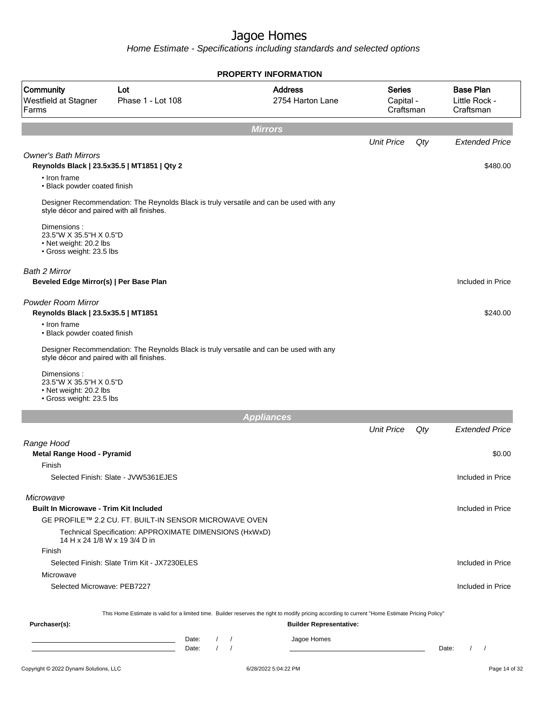|                                                                                              |                                                                                         | <b>PROPERTY INFORMATION</b>                                                                                                                      |                                         |                                                |
|----------------------------------------------------------------------------------------------|-----------------------------------------------------------------------------------------|--------------------------------------------------------------------------------------------------------------------------------------------------|-----------------------------------------|------------------------------------------------|
| Community<br>Westfield at Stagner<br>Farms                                                   | Lot<br>Phase 1 - Lot 108                                                                | <b>Address</b><br>2754 Harton Lane                                                                                                               | <b>Series</b><br>Capital -<br>Craftsman | <b>Base Plan</b><br>Little Rock -<br>Craftsman |
|                                                                                              |                                                                                         | <b>Mirrors</b>                                                                                                                                   |                                         |                                                |
|                                                                                              |                                                                                         |                                                                                                                                                  | <b>Unit Price</b><br>Qty                | <b>Extended Price</b>                          |
| <b>Owner's Bath Mirrors</b><br>Reynolds Black   23.5x35.5   MT1851   Qty 2                   |                                                                                         |                                                                                                                                                  |                                         | \$480.00                                       |
| • Iron frame<br>• Black powder coated finish                                                 |                                                                                         |                                                                                                                                                  |                                         |                                                |
| style décor and paired with all finishes.                                                    | Designer Recommendation: The Reynolds Black is truly versatile and can be used with any |                                                                                                                                                  |                                         |                                                |
| Dimensions:<br>23.5"W X 35.5"H X 0.5"D<br>• Net weight: 20.2 lbs<br>• Gross weight: 23.5 lbs |                                                                                         |                                                                                                                                                  |                                         |                                                |
| Bath 2 Mirror<br>Beveled Edge Mirror(s)   Per Base Plan                                      |                                                                                         |                                                                                                                                                  |                                         | Included in Price                              |
| Powder Room Mirror<br>Reynolds Black   23.5x35.5   MT1851                                    |                                                                                         |                                                                                                                                                  |                                         | \$240.00                                       |
| • Iron frame<br>• Black powder coated finish                                                 |                                                                                         |                                                                                                                                                  |                                         |                                                |
| style décor and paired with all finishes.                                                    | Designer Recommendation: The Reynolds Black is truly versatile and can be used with any |                                                                                                                                                  |                                         |                                                |
| Dimensions:<br>23.5"W X 35.5"H X 0.5"D<br>• Net weight: 20.2 lbs<br>• Gross weight: 23.5 lbs |                                                                                         |                                                                                                                                                  |                                         |                                                |
|                                                                                              |                                                                                         | <b>Appliances</b>                                                                                                                                |                                         |                                                |
|                                                                                              |                                                                                         |                                                                                                                                                  | <b>Unit Price</b><br>Qty                | <b>Extended Price</b>                          |
| Range Hood<br>Metal Range Hood - Pyramid                                                     |                                                                                         |                                                                                                                                                  |                                         | \$0.00                                         |
| Finish                                                                                       |                                                                                         |                                                                                                                                                  |                                         |                                                |
|                                                                                              | Selected Finish: Slate - JVW5361EJES                                                    |                                                                                                                                                  |                                         | Included in Price                              |
| Microwave<br><b>Built In Microwave - Trim Kit Included</b>                                   |                                                                                         |                                                                                                                                                  |                                         | Included in Price                              |
|                                                                                              | GE PROFILE™ 2.2 CU. FT. BUILT-IN SENSOR MICROWAVE OVEN                                  |                                                                                                                                                  |                                         |                                                |
| 14 H x 24 1/8 W x 19 3/4 D in                                                                | Technical Specification: APPROXIMATE DIMENSIONS (HxWxD)                                 |                                                                                                                                                  |                                         |                                                |
| Finish                                                                                       |                                                                                         |                                                                                                                                                  |                                         |                                                |
|                                                                                              | Selected Finish: Slate Trim Kit - JX7230ELES                                            |                                                                                                                                                  |                                         | Included in Price                              |
| Microwave                                                                                    |                                                                                         |                                                                                                                                                  |                                         |                                                |
| Selected Microwave: PEB7227                                                                  |                                                                                         |                                                                                                                                                  |                                         | Included in Price                              |
|                                                                                              |                                                                                         | This Home Estimate is valid for a limited time. Builder reserves the right to modify pricing according to current "Home Estimate Pricing Policy" |                                         |                                                |
| Purchaser(s):                                                                                |                                                                                         | <b>Builder Representative:</b>                                                                                                                   |                                         |                                                |
|                                                                                              | Date:<br>$\prime$<br>Date:                                                              | Jagoe Homes<br>$\sqrt{ }$<br>$\sqrt{ }$                                                                                                          |                                         | $\left  \right $<br>Date:                      |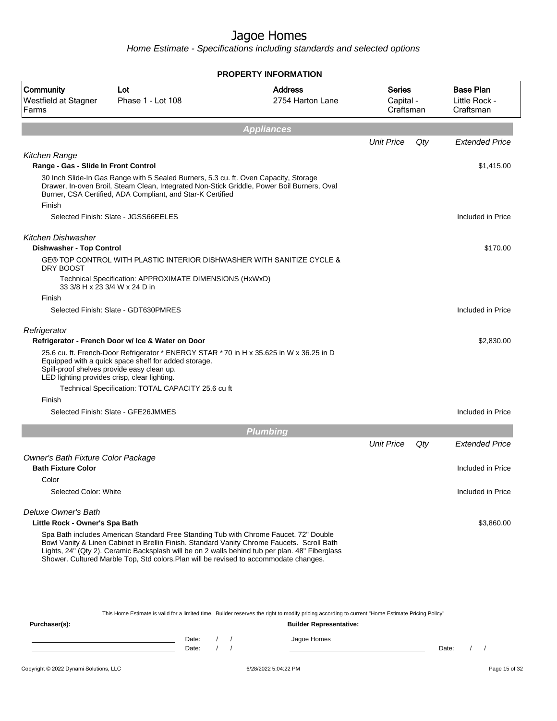Home Estimate - Specifications including standards and selected options

|                                                       |                                                                                                                                                                                                                                                                                                                                                                               | <b>PROPERTY INFORMATION</b>        |                                  |     |                                                |
|-------------------------------------------------------|-------------------------------------------------------------------------------------------------------------------------------------------------------------------------------------------------------------------------------------------------------------------------------------------------------------------------------------------------------------------------------|------------------------------------|----------------------------------|-----|------------------------------------------------|
| Community<br><b>Westfield at Stagner</b><br>Farms     | Lot<br>Phase 1 - Lot 108                                                                                                                                                                                                                                                                                                                                                      | <b>Address</b><br>2754 Harton Lane | Series<br>Capital -<br>Craftsman |     | <b>Base Plan</b><br>Little Rock -<br>Craftsman |
|                                                       |                                                                                                                                                                                                                                                                                                                                                                               | <b>Appliances</b>                  |                                  |     |                                                |
|                                                       |                                                                                                                                                                                                                                                                                                                                                                               |                                    | <b>Unit Price</b>                | Qty | <b>Extended Price</b>                          |
| Kitchen Range                                         |                                                                                                                                                                                                                                                                                                                                                                               |                                    |                                  |     |                                                |
| Range - Gas - Slide In Front Control                  |                                                                                                                                                                                                                                                                                                                                                                               |                                    |                                  |     | \$1,415.00                                     |
| Finish                                                | 30 Inch Slide-In Gas Range with 5 Sealed Burners, 5.3 cu. ft. Oven Capacity, Storage<br>Drawer, In-oven Broil, Steam Clean, Integrated Non-Stick Griddle, Power Boil Burners, Oval<br>Burner, CSA Certified, ADA Compliant, and Star-K Certified                                                                                                                              |                                    |                                  |     |                                                |
|                                                       | Selected Finish: Slate - JGSS66EELES                                                                                                                                                                                                                                                                                                                                          |                                    |                                  |     | Included in Price                              |
| Kitchen Dishwasher<br><b>Dishwasher - Top Control</b> |                                                                                                                                                                                                                                                                                                                                                                               |                                    |                                  |     | \$170.00                                       |
| DRY BOOST                                             | GE® TOP CONTROL WITH PLASTIC INTERIOR DISHWASHER WITH SANITIZE CYCLE &                                                                                                                                                                                                                                                                                                        |                                    |                                  |     |                                                |
| 33 3/8 H x 23 3/4 W x 24 D in                         | Technical Specification: APPROXIMATE DIMENSIONS (HxWxD)                                                                                                                                                                                                                                                                                                                       |                                    |                                  |     |                                                |
| Finish                                                |                                                                                                                                                                                                                                                                                                                                                                               |                                    |                                  |     |                                                |
|                                                       | Selected Finish: Slate - GDT630PMRES                                                                                                                                                                                                                                                                                                                                          |                                    |                                  |     | Included in Price                              |
| Refrigerator                                          |                                                                                                                                                                                                                                                                                                                                                                               |                                    |                                  |     |                                                |
|                                                       | Refrigerator - French Door w/ Ice & Water on Door                                                                                                                                                                                                                                                                                                                             |                                    |                                  |     | \$2,830.00                                     |
|                                                       | 25.6 cu. ft. French-Door Refrigerator * ENERGY STAR * 70 in H x 35.625 in W x 36.25 in D<br>Equipped with a quick space shelf for added storage.<br>Spill-proof shelves provide easy clean up.<br>LED lighting provides crisp, clear lighting.<br>Technical Specification: TOTAL CAPACITY 25.6 cu ft                                                                          |                                    |                                  |     |                                                |
| Finish                                                |                                                                                                                                                                                                                                                                                                                                                                               |                                    |                                  |     |                                                |
|                                                       | Selected Finish: Slate - GFE26JMMES                                                                                                                                                                                                                                                                                                                                           |                                    |                                  |     | Included in Price                              |
|                                                       |                                                                                                                                                                                                                                                                                                                                                                               | Plumbing                           |                                  |     |                                                |
|                                                       |                                                                                                                                                                                                                                                                                                                                                                               |                                    | <b>Unit Price</b>                | Qty | <b>Extended Price</b>                          |
| Owner's Bath Fixture Color Package                    |                                                                                                                                                                                                                                                                                                                                                                               |                                    |                                  |     |                                                |
| <b>Bath Fixture Color</b>                             |                                                                                                                                                                                                                                                                                                                                                                               |                                    |                                  |     | Included in Price                              |
| Color                                                 |                                                                                                                                                                                                                                                                                                                                                                               |                                    |                                  |     |                                                |
| Selected Color: White                                 |                                                                                                                                                                                                                                                                                                                                                                               |                                    |                                  |     | Included in Price                              |
| Deluxe Owner's Bath                                   |                                                                                                                                                                                                                                                                                                                                                                               |                                    |                                  |     |                                                |
| Little Rock - Owner's Spa Bath                        |                                                                                                                                                                                                                                                                                                                                                                               |                                    |                                  |     | \$3,860.00                                     |
|                                                       | Spa Bath includes American Standard Free Standing Tub with Chrome Faucet. 72" Double<br>Bowl Vanity & Linen Cabinet in Brellin Finish. Standard Vanity Chrome Faucets. Scroll Bath<br>Lights, 24" (Qty 2). Ceramic Backsplash will be on 2 walls behind tub per plan. 48" Fiberglass<br>Shower. Cultured Marble Top, Std colors. Plan will be revised to accommodate changes. |                                    |                                  |     |                                                |
|                                                       |                                                                                                                                                                                                                                                                                                                                                                               |                                    |                                  |     |                                                |
|                                                       |                                                                                                                                                                                                                                                                                                                                                                               |                                    |                                  |     |                                                |

This Home Estimate is valid for a limited time. Builder reserves the right to modify pricing according to current "Home Estimate Pricing Policy"

| Purchaser(s): |                |  | <b>Builder Representative:</b> |       |  |
|---------------|----------------|--|--------------------------------|-------|--|
|               | Date:<br>Date: |  | Jagoe Homes                    | Date: |  |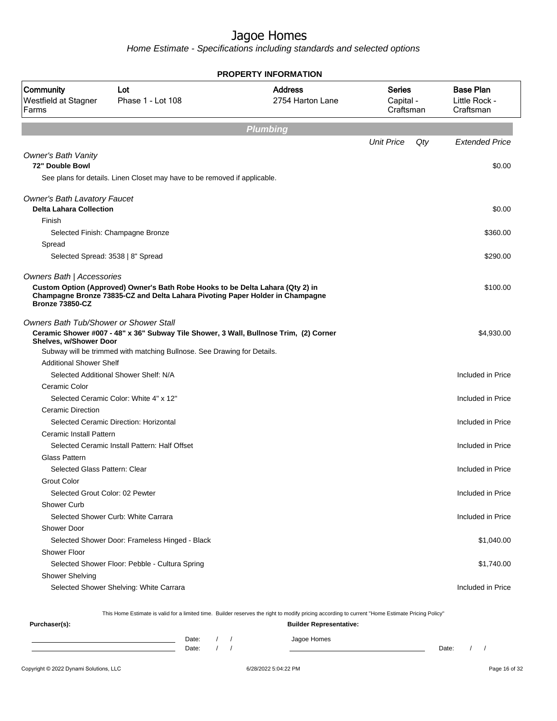Home Estimate - Specifications including standards and selected options

|                                                                       |                                                                                                                                                                 | <b>PROPERTY INFORMATION</b>        |                                         |                                                |
|-----------------------------------------------------------------------|-----------------------------------------------------------------------------------------------------------------------------------------------------------------|------------------------------------|-----------------------------------------|------------------------------------------------|
| Community<br>Westfield at Stagner<br>Farms                            | Lot<br>Phase 1 - Lot 108                                                                                                                                        | <b>Address</b><br>2754 Harton Lane | <b>Series</b><br>Capital -<br>Craftsman | <b>Base Plan</b><br>Little Rock -<br>Craftsman |
|                                                                       |                                                                                                                                                                 | <b>Plumbing</b>                    |                                         |                                                |
|                                                                       |                                                                                                                                                                 |                                    | <b>Unit Price</b><br>Qty                | <b>Extended Price</b>                          |
| <b>Owner's Bath Vanity</b><br>72" Double Bowl                         | See plans for details. Linen Closet may have to be removed if applicable.                                                                                       |                                    |                                         | \$0.00                                         |
|                                                                       |                                                                                                                                                                 |                                    |                                         |                                                |
| <b>Owner's Bath Lavatory Faucet</b><br><b>Delta Lahara Collection</b> |                                                                                                                                                                 |                                    |                                         | \$0.00                                         |
| Finish                                                                |                                                                                                                                                                 |                                    |                                         |                                                |
|                                                                       | Selected Finish: Champagne Bronze                                                                                                                               |                                    |                                         | \$360.00                                       |
| Spread                                                                |                                                                                                                                                                 |                                    |                                         |                                                |
|                                                                       | Selected Spread: 3538   8" Spread                                                                                                                               |                                    |                                         | \$290.00                                       |
| Owners Bath   Accessories                                             |                                                                                                                                                                 |                                    |                                         |                                                |
| <b>Bronze 73850-CZ</b>                                                | Custom Option (Approved) Owner's Bath Robe Hooks to be Delta Lahara (Qty 2) in<br>Champagne Bronze 73835-CZ and Delta Lahara Pivoting Paper Holder in Champagne |                                    |                                         | \$100.00                                       |
| Owners Bath Tub/Shower or Shower Stall                                |                                                                                                                                                                 |                                    |                                         |                                                |
| Shelves, w/Shower Door                                                | Ceramic Shower #007 - 48" x 36" Subway Tile Shower, 3 Wall, Bullnose Trim, (2) Corner                                                                           |                                    |                                         | \$4,930.00                                     |
|                                                                       | Subway will be trimmed with matching Bullnose. See Drawing for Details.                                                                                         |                                    |                                         |                                                |
| <b>Additional Shower Shelf</b>                                        |                                                                                                                                                                 |                                    |                                         |                                                |
|                                                                       | Selected Additional Shower Shelf: N/A                                                                                                                           |                                    |                                         | Included in Price                              |
| Ceramic Color                                                         |                                                                                                                                                                 |                                    |                                         |                                                |
|                                                                       | Selected Ceramic Color: White 4" x 12"                                                                                                                          |                                    |                                         | Included in Price                              |
| <b>Ceramic Direction</b>                                              |                                                                                                                                                                 |                                    |                                         |                                                |
|                                                                       | Selected Ceramic Direction: Horizontal                                                                                                                          |                                    |                                         | Included in Price                              |
| Ceramic Install Pattern                                               |                                                                                                                                                                 |                                    |                                         |                                                |
|                                                                       | Selected Ceramic Install Pattern: Half Offset                                                                                                                   |                                    |                                         | Included in Price                              |
| Glass Pattern                                                         |                                                                                                                                                                 |                                    |                                         |                                                |
| Selected Glass Pattern: Clear                                         |                                                                                                                                                                 |                                    |                                         | Included in Price                              |
| <b>Grout Color</b>                                                    |                                                                                                                                                                 |                                    |                                         |                                                |
| Selected Grout Color: 02 Pewter                                       |                                                                                                                                                                 |                                    |                                         | Included in Price                              |
| Shower Curb                                                           |                                                                                                                                                                 |                                    |                                         |                                                |
|                                                                       | Selected Shower Curb: White Carrara                                                                                                                             |                                    |                                         | Included in Price                              |
| <b>Shower Door</b>                                                    |                                                                                                                                                                 |                                    |                                         |                                                |
|                                                                       | Selected Shower Door: Frameless Hinged - Black                                                                                                                  |                                    |                                         | \$1,040.00                                     |
| Shower Floor                                                          |                                                                                                                                                                 |                                    |                                         |                                                |
|                                                                       | Selected Shower Floor: Pebble - Cultura Spring                                                                                                                  |                                    |                                         | \$1,740.00                                     |
| Shower Shelving                                                       |                                                                                                                                                                 |                                    |                                         |                                                |
|                                                                       | Selected Shower Shelving: White Carrara                                                                                                                         |                                    |                                         | Included in Price                              |
|                                                                       |                                                                                                                                                                 |                                    |                                         |                                                |
| Purchaser(s):                                                         | This Home Estimate is valid for a limited time. Builder reserves the right to modify pricing according to current "Home Estimate Pricing Policy"                | <b>Builder Representative:</b>     |                                         |                                                |
|                                                                       |                                                                                                                                                                 |                                    |                                         |                                                |

Date: / / Jagoe Homes<br>Date: / / Jagoe Homes Date: / / Date: / /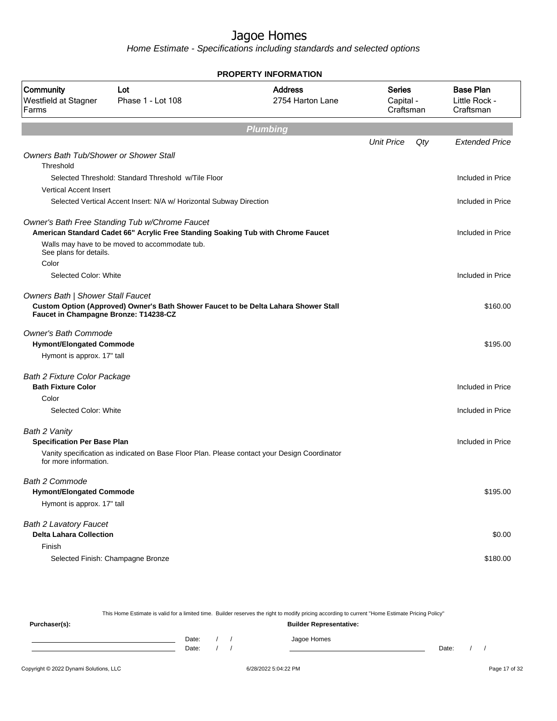Home Estimate - Specifications including standards and selected options

|                                                                            |                                                                                                                                    | <b>PROPERTY INFORMATION</b>        |                                  |     |                                                |
|----------------------------------------------------------------------------|------------------------------------------------------------------------------------------------------------------------------------|------------------------------------|----------------------------------|-----|------------------------------------------------|
| Community<br>Westfield at Stagner<br>Farms                                 | Lot<br>Phase 1 - Lot 108                                                                                                           | <b>Address</b><br>2754 Harton Lane | Series<br>Capital -<br>Craftsman |     | <b>Base Plan</b><br>Little Rock -<br>Craftsman |
|                                                                            |                                                                                                                                    | <b>Plumbing</b>                    |                                  |     |                                                |
|                                                                            |                                                                                                                                    |                                    | <b>Unit Price</b>                | Qty | <b>Extended Price</b>                          |
| <b>Owners Bath Tub/Shower or Shower Stall</b><br>Threshold                 |                                                                                                                                    |                                    |                                  |     |                                                |
|                                                                            | Selected Threshold: Standard Threshold w/Tile Floor                                                                                |                                    |                                  |     | Included in Price                              |
| <b>Vertical Accent Insert</b>                                              |                                                                                                                                    |                                    |                                  |     |                                                |
|                                                                            | Selected Vertical Accent Insert: N/A w/ Horizontal Subway Direction                                                                |                                    |                                  |     | Included in Price                              |
|                                                                            | Owner's Bath Free Standing Tub w/Chrome Faucet<br>American Standard Cadet 66" Acrylic Free Standing Soaking Tub with Chrome Faucet |                                    |                                  |     | Included in Price                              |
| See plans for details.<br>Color                                            | Walls may have to be moved to accommodate tub.                                                                                     |                                    |                                  |     |                                                |
| Selected Color: White                                                      |                                                                                                                                    |                                    |                                  |     | Included in Price                              |
| Owners Bath   Shower Stall Faucet<br>Faucet in Champagne Bronze: T14238-CZ | Custom Option (Approved) Owner's Bath Shower Faucet to be Delta Lahara Shower Stall                                                |                                    |                                  |     | \$160.00                                       |
| <b>Owner's Bath Commode</b>                                                |                                                                                                                                    |                                    |                                  |     |                                                |
| <b>Hymont/Elongated Commode</b>                                            |                                                                                                                                    |                                    |                                  |     | \$195.00                                       |
| Hymont is approx. 17" tall                                                 |                                                                                                                                    |                                    |                                  |     |                                                |
| <b>Bath 2 Fixture Color Package</b>                                        |                                                                                                                                    |                                    |                                  |     |                                                |
| <b>Bath Fixture Color</b>                                                  |                                                                                                                                    |                                    |                                  |     | Included in Price                              |
| Color<br>Selected Color: White                                             |                                                                                                                                    |                                    |                                  |     | Included in Price                              |
| Bath 2 Vanity<br><b>Specification Per Base Plan</b>                        |                                                                                                                                    |                                    |                                  |     | Included in Price                              |
| for more information.                                                      | Vanity specification as indicated on Base Floor Plan. Please contact your Design Coordinator                                       |                                    |                                  |     |                                                |
| Bath 2 Commode                                                             |                                                                                                                                    |                                    |                                  |     |                                                |
| <b>Hymont/Elongated Commode</b>                                            |                                                                                                                                    |                                    |                                  |     | \$195.00                                       |
| Hymont is approx. 17" tall                                                 |                                                                                                                                    |                                    |                                  |     |                                                |
| <b>Bath 2 Lavatory Faucet</b>                                              |                                                                                                                                    |                                    |                                  |     |                                                |
| <b>Delta Lahara Collection</b>                                             |                                                                                                                                    |                                    |                                  |     | \$0.00                                         |
| Finish                                                                     |                                                                                                                                    |                                    |                                  |     |                                                |
|                                                                            | Selected Finish: Champagne Bronze                                                                                                  |                                    |                                  |     | \$180.00                                       |

This Home Estimate is valid for a limited time. Builder reserves the right to modify pricing according to current "Home Estimate Pricing Policy"

| Purchaser(s): |       |  | <b>Builder Representative:</b> |       |  |  |
|---------------|-------|--|--------------------------------|-------|--|--|
|               | Date: |  | Jagoe Homes                    |       |  |  |
|               | Date: |  |                                | Date: |  |  |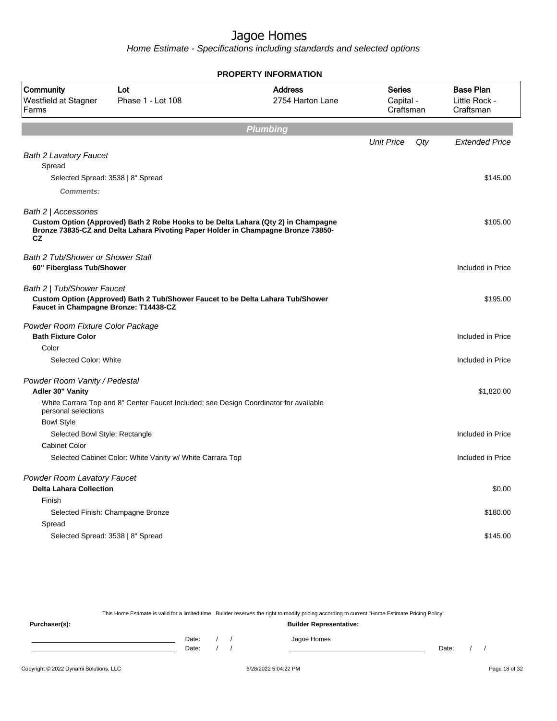Home Estimate - Specifications including standards and selected options

|                                                                       |                                                                                                                                                                         | <b>PROPERTY INFORMATION</b>        |                                  |     |                                                |
|-----------------------------------------------------------------------|-------------------------------------------------------------------------------------------------------------------------------------------------------------------------|------------------------------------|----------------------------------|-----|------------------------------------------------|
| Community<br>Westfield at Stagner<br>Farms                            | Lot<br>Phase 1 - Lot 108                                                                                                                                                | <b>Address</b><br>2754 Harton Lane | Series<br>Capital -<br>Craftsman |     | <b>Base Plan</b><br>Little Rock -<br>Craftsman |
|                                                                       |                                                                                                                                                                         | <b>Plumbing</b>                    |                                  |     |                                                |
|                                                                       |                                                                                                                                                                         |                                    | <b>Unit Price</b>                | Qty | <b>Extended Price</b>                          |
| <b>Bath 2 Lavatory Faucet</b><br>Spread                               |                                                                                                                                                                         |                                    |                                  |     |                                                |
|                                                                       | Selected Spread: 3538   8" Spread                                                                                                                                       |                                    |                                  |     | \$145.00                                       |
| Comments:                                                             |                                                                                                                                                                         |                                    |                                  |     |                                                |
| Bath 2   Accessories                                                  |                                                                                                                                                                         |                                    |                                  |     |                                                |
| <b>CZ</b>                                                             | Custom Option (Approved) Bath 2 Robe Hooks to be Delta Lahara (Qty 2) in Champagne<br>Bronze 73835-CZ and Delta Lahara Pivoting Paper Holder in Champagne Bronze 73850- |                                    |                                  |     | \$105.00                                       |
| <b>Bath 2 Tub/Shower or Shower Stall</b><br>60" Fiberglass Tub/Shower |                                                                                                                                                                         |                                    |                                  |     | Included in Price                              |
| Bath 2   Tub/Shower Faucet<br>Faucet in Champagne Bronze: T14438-CZ   | Custom Option (Approved) Bath 2 Tub/Shower Faucet to be Delta Lahara Tub/Shower                                                                                         |                                    |                                  |     | \$195.00                                       |
| Powder Room Fixture Color Package<br><b>Bath Fixture Color</b>        |                                                                                                                                                                         |                                    |                                  |     | Included in Price                              |
| Color                                                                 |                                                                                                                                                                         |                                    |                                  |     |                                                |
| Selected Color: White                                                 |                                                                                                                                                                         |                                    |                                  |     | Included in Price                              |
| Powder Room Vanity / Pedestal<br>Adler 30" Vanity                     |                                                                                                                                                                         |                                    |                                  |     | \$1,820.00                                     |
| personal selections                                                   | White Carrara Top and 8" Center Faucet Included; see Design Coordinator for available                                                                                   |                                    |                                  |     |                                                |
| <b>Bowl Style</b>                                                     |                                                                                                                                                                         |                                    |                                  |     |                                                |
| Selected Bowl Style: Rectangle                                        |                                                                                                                                                                         |                                    |                                  |     | Included in Price                              |
| <b>Cabinet Color</b>                                                  |                                                                                                                                                                         |                                    |                                  |     |                                                |
|                                                                       | Selected Cabinet Color: White Vanity w/ White Carrara Top                                                                                                               |                                    |                                  |     | Included in Price                              |
| Powder Room Lavatory Faucet<br><b>Delta Lahara Collection</b>         |                                                                                                                                                                         |                                    |                                  |     | \$0.00                                         |
| Finish                                                                |                                                                                                                                                                         |                                    |                                  |     |                                                |
|                                                                       | Selected Finish: Champagne Bronze                                                                                                                                       |                                    |                                  |     | \$180.00                                       |
| Spread                                                                |                                                                                                                                                                         |                                    |                                  |     |                                                |
|                                                                       | Selected Spread: 3538   8" Spread                                                                                                                                       |                                    |                                  |     | \$145.00                                       |
|                                                                       |                                                                                                                                                                         |                                    |                                  |     |                                                |

This Home Estimate is valid for a limited time. Builder reserves the right to modify pricing according to current "Home Estimate Pricing Policy"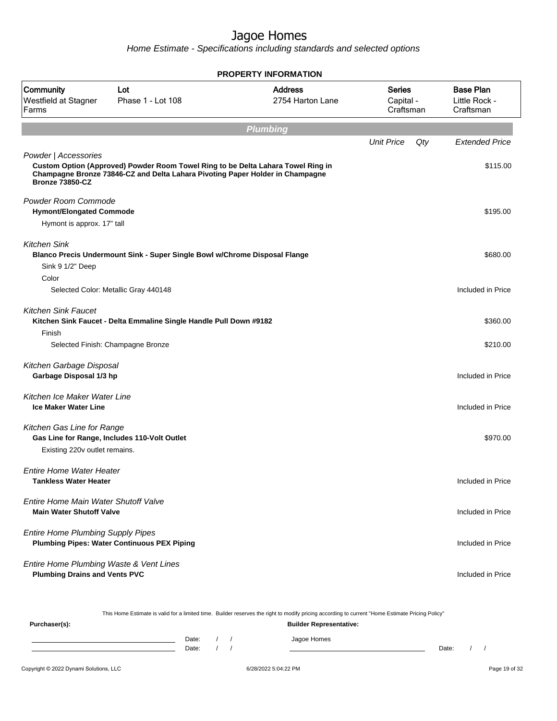Home Estimate - Specifications including standards and selected options

|                                                     |                                                                                                                                                                   | <b>PROPERTY INFORMATION</b>        |                                  |     |                                                |  |  |  |  |  |  |  |
|-----------------------------------------------------|-------------------------------------------------------------------------------------------------------------------------------------------------------------------|------------------------------------|----------------------------------|-----|------------------------------------------------|--|--|--|--|--|--|--|
| Community<br>Westfield at Stagner<br>Farms          | Lot<br>Phase 1 - Lot 108                                                                                                                                          | <b>Address</b><br>2754 Harton Lane | Series<br>Capital -<br>Craftsman |     | <b>Base Plan</b><br>Little Rock -<br>Craftsman |  |  |  |  |  |  |  |
|                                                     | <b>Plumbing</b>                                                                                                                                                   |                                    |                                  |     |                                                |  |  |  |  |  |  |  |
|                                                     |                                                                                                                                                                   |                                    | <b>Unit Price</b>                | Qty | <b>Extended Price</b>                          |  |  |  |  |  |  |  |
| Powder   Accessories                                |                                                                                                                                                                   |                                    |                                  |     |                                                |  |  |  |  |  |  |  |
| Bronze 73850-CZ                                     | Custom Option (Approved) Powder Room Towel Ring to be Delta Lahara Towel Ring in<br>Champagne Bronze 73846-CZ and Delta Lahara Pivoting Paper Holder in Champagne |                                    |                                  |     | \$115.00                                       |  |  |  |  |  |  |  |
| Powder Room Commode                                 |                                                                                                                                                                   |                                    |                                  |     |                                                |  |  |  |  |  |  |  |
| <b>Hymont/Elongated Commode</b>                     |                                                                                                                                                                   |                                    |                                  |     | \$195.00                                       |  |  |  |  |  |  |  |
| Hymont is approx. 17" tall                          |                                                                                                                                                                   |                                    |                                  |     |                                                |  |  |  |  |  |  |  |
| <b>Kitchen Sink</b>                                 | Blanco Precis Undermount Sink - Super Single Bowl w/Chrome Disposal Flange                                                                                        |                                    |                                  |     | \$680.00                                       |  |  |  |  |  |  |  |
| Sink 9 1/2" Deep                                    |                                                                                                                                                                   |                                    |                                  |     |                                                |  |  |  |  |  |  |  |
| Color                                               |                                                                                                                                                                   |                                    |                                  |     |                                                |  |  |  |  |  |  |  |
|                                                     | Selected Color: Metallic Gray 440148                                                                                                                              |                                    |                                  |     | Included in Price                              |  |  |  |  |  |  |  |
| <b>Kitchen Sink Faucet</b>                          | Kitchen Sink Faucet - Delta Emmaline Single Handle Pull Down #9182                                                                                                |                                    |                                  |     | \$360.00                                       |  |  |  |  |  |  |  |
| Finish                                              | Selected Finish: Champagne Bronze                                                                                                                                 |                                    |                                  |     | \$210.00                                       |  |  |  |  |  |  |  |
|                                                     |                                                                                                                                                                   |                                    |                                  |     |                                                |  |  |  |  |  |  |  |
| Kitchen Garbage Disposal<br>Garbage Disposal 1/3 hp |                                                                                                                                                                   |                                    |                                  |     | Included in Price                              |  |  |  |  |  |  |  |
| Kitchen Ice Maker Water Line                        |                                                                                                                                                                   |                                    |                                  |     |                                                |  |  |  |  |  |  |  |
| <b>Ice Maker Water Line</b>                         |                                                                                                                                                                   |                                    |                                  |     | Included in Price                              |  |  |  |  |  |  |  |
| Kitchen Gas Line for Range                          | Gas Line for Range, Includes 110-Volt Outlet                                                                                                                      |                                    |                                  |     | \$970.00                                       |  |  |  |  |  |  |  |
| Existing 220v outlet remains.                       |                                                                                                                                                                   |                                    |                                  |     |                                                |  |  |  |  |  |  |  |
| <b>Entire Home Water Heater</b>                     |                                                                                                                                                                   |                                    |                                  |     |                                                |  |  |  |  |  |  |  |
| Tankless Water Heater                               |                                                                                                                                                                   |                                    |                                  |     | Included in Price                              |  |  |  |  |  |  |  |
| Entire Home Main Water Shutoff Valve                |                                                                                                                                                                   |                                    |                                  |     |                                                |  |  |  |  |  |  |  |
| <b>Main Water Shutoff Valve</b>                     |                                                                                                                                                                   |                                    |                                  |     | Included in Price                              |  |  |  |  |  |  |  |
| <b>Entire Home Plumbing Supply Pipes</b>            |                                                                                                                                                                   |                                    |                                  |     |                                                |  |  |  |  |  |  |  |
|                                                     | <b>Plumbing Pipes: Water Continuous PEX Piping</b>                                                                                                                |                                    |                                  |     | Included in Price                              |  |  |  |  |  |  |  |
| Entire Home Plumbing Waste & Vent Lines             |                                                                                                                                                                   |                                    |                                  |     |                                                |  |  |  |  |  |  |  |
| <b>Plumbing Drains and Vents PVC</b>                |                                                                                                                                                                   |                                    |                                  |     | Included in Price                              |  |  |  |  |  |  |  |
|                                                     |                                                                                                                                                                   |                                    |                                  |     |                                                |  |  |  |  |  |  |  |

This Home Estimate is valid for a limited time. Builder reserves the right to modify pricing according to current "Home Estimate Pricing Policy"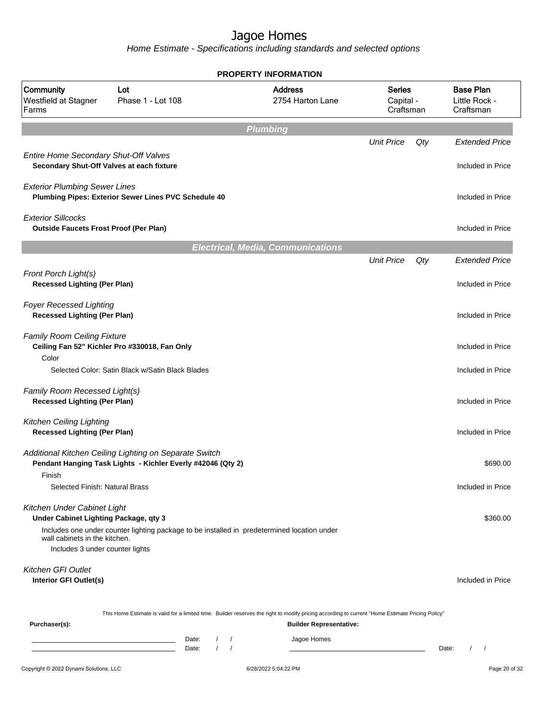|                                                                                    |                                                                                                                       | <b>PROPERTY INFORMATION</b>                                                                                                                      |                                         |     |                                                |
|------------------------------------------------------------------------------------|-----------------------------------------------------------------------------------------------------------------------|--------------------------------------------------------------------------------------------------------------------------------------------------|-----------------------------------------|-----|------------------------------------------------|
| Community<br>Westfield at Stagner<br>Farms                                         | Lot<br>Phase 1 - Lot 108                                                                                              | <b>Address</b><br>2754 Harton Lane                                                                                                               | <b>Series</b><br>Capital -<br>Craftsman |     | <b>Base Plan</b><br>Little Rock -<br>Craftsman |
|                                                                                    |                                                                                                                       | <b>Plumbing</b>                                                                                                                                  |                                         |     |                                                |
|                                                                                    |                                                                                                                       |                                                                                                                                                  | <b>Unit Price</b>                       | Qty | <b>Extended Price</b>                          |
| Entire Home Secondary Shut-Off Valves<br>Secondary Shut-Off Valves at each fixture |                                                                                                                       |                                                                                                                                                  |                                         |     | Included in Price                              |
| <b>Exterior Plumbing Sewer Lines</b>                                               |                                                                                                                       |                                                                                                                                                  |                                         |     |                                                |
|                                                                                    | Plumbing Pipes: Exterior Sewer Lines PVC Schedule 40                                                                  |                                                                                                                                                  |                                         |     | Included in Price                              |
| <b>Exterior Sillcocks</b><br><b>Outside Faucets Frost Proof (Per Plan)</b>         |                                                                                                                       |                                                                                                                                                  |                                         |     | Included in Price                              |
|                                                                                    |                                                                                                                       | <b>Electrical, Media, Communications</b>                                                                                                         |                                         |     |                                                |
|                                                                                    |                                                                                                                       |                                                                                                                                                  | <b>Unit Price</b>                       | Qty | <b>Extended Price</b>                          |
| Front Porch Light(s)<br><b>Recessed Lighting (Per Plan)</b>                        |                                                                                                                       |                                                                                                                                                  |                                         |     | Included in Price                              |
| <b>Foyer Recessed Lighting</b><br><b>Recessed Lighting (Per Plan)</b>              |                                                                                                                       |                                                                                                                                                  |                                         |     | Included in Price                              |
| <b>Family Room Ceiling Fixture</b><br>Color                                        | Ceiling Fan 52" Kichler Pro #330018, Fan Only                                                                         |                                                                                                                                                  |                                         |     | Included in Price                              |
|                                                                                    | Selected Color: Satin Black w/Satin Black Blades                                                                      |                                                                                                                                                  |                                         |     | Included in Price                              |
| Family Room Recessed Light(s)<br><b>Recessed Lighting (Per Plan)</b>               |                                                                                                                       |                                                                                                                                                  |                                         |     | Included in Price                              |
| <b>Kitchen Ceiling Lighting</b><br><b>Recessed Lighting (Per Plan)</b>             |                                                                                                                       |                                                                                                                                                  |                                         |     | Included in Price                              |
|                                                                                    | Additional Kitchen Ceiling Lighting on Separate Switch<br>Pendant Hanging Task Lights - Kichler Everly #42046 (Qty 2) |                                                                                                                                                  |                                         |     | \$690.00                                       |
| Finish                                                                             |                                                                                                                       |                                                                                                                                                  |                                         |     |                                                |
| Selected Finish: Natural Brass                                                     |                                                                                                                       |                                                                                                                                                  |                                         |     | Included in Price                              |
| Kitchen Under Cabinet Light<br>Under Cabinet Lighting Package, qty 3               |                                                                                                                       |                                                                                                                                                  |                                         |     | \$360.00                                       |
| wall cabinets in the kitchen.<br>Includes 3 under counter lights                   | Includes one under counter lighting package to be installed in predetermined location under                           |                                                                                                                                                  |                                         |     |                                                |
| <b>Kitchen GFI Outlet</b><br>Interior GFI Outlet(s)                                |                                                                                                                       |                                                                                                                                                  |                                         |     | Included in Price                              |
|                                                                                    |                                                                                                                       | This Home Estimate is valid for a limited time. Builder reserves the right to modify pricing according to current "Home Estimate Pricing Policy" |                                         |     |                                                |
| Purchaser(s):                                                                      |                                                                                                                       | <b>Builder Representative:</b>                                                                                                                   |                                         |     |                                                |
|                                                                                    | Date:<br>Date:                                                                                                        | Jagoe Homes<br>$\prime$<br>$\prime$                                                                                                              |                                         |     | Date:<br>$\sqrt{2}$<br>$\sqrt{2}$              |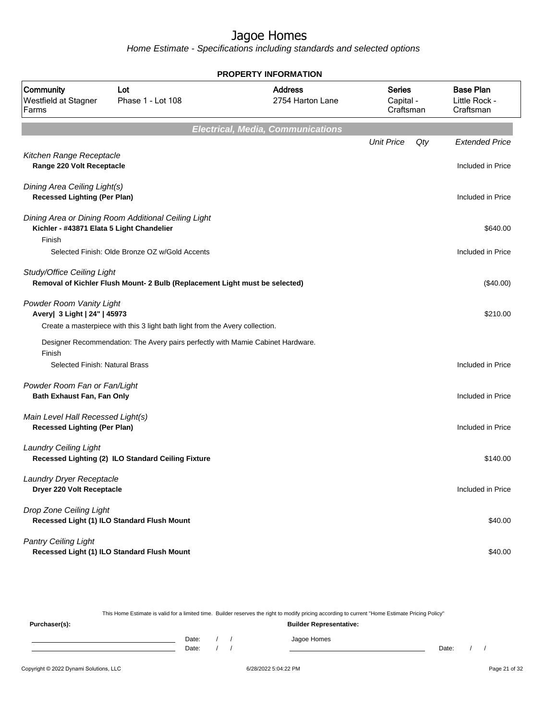Home Estimate - Specifications including standards and selected options

|                                                                          |                                                                                 | <b>PROPERTY INFORMATION</b>              |                                         |                                                |
|--------------------------------------------------------------------------|---------------------------------------------------------------------------------|------------------------------------------|-----------------------------------------|------------------------------------------------|
| Community<br>Lot<br>Westfield at Stagner<br>Phase 1 - Lot 108<br>Farms   |                                                                                 | <b>Address</b><br>2754 Harton Lane       | <b>Series</b><br>Capital -<br>Craftsman | <b>Base Plan</b><br>Little Rock -<br>Craftsman |
|                                                                          |                                                                                 | <b>Electrical, Media, Communications</b> |                                         |                                                |
|                                                                          |                                                                                 |                                          | <b>Unit Price</b><br>Qty                | <b>Extended Price</b>                          |
| Kitchen Range Receptacle<br>Range 220 Volt Receptacle                    |                                                                                 |                                          |                                         | Included in Price                              |
| Dining Area Ceiling Light(s)<br><b>Recessed Lighting (Per Plan)</b>      |                                                                                 |                                          |                                         | Included in Price                              |
| Kichler - #43871 Elata 5 Light Chandelier                                | Dining Area or Dining Room Additional Ceiling Light                             |                                          |                                         | \$640.00                                       |
| Finish                                                                   | Selected Finish: Olde Bronze OZ w/Gold Accents                                  |                                          |                                         | Included in Price                              |
| Study/Office Ceiling Light                                               | Removal of Kichler Flush Mount- 2 Bulb (Replacement Light must be selected)     |                                          |                                         | $(\$40.00)$                                    |
| Powder Room Vanity Light<br>Avery   3 Light   24"   45973                | Create a masterpiece with this 3 light bath light from the Avery collection.    |                                          |                                         | \$210.00                                       |
|                                                                          | Designer Recommendation: The Avery pairs perfectly with Mamie Cabinet Hardware. |                                          |                                         |                                                |
| Finish<br>Selected Finish: Natural Brass                                 |                                                                                 |                                          |                                         | Included in Price                              |
| Powder Room Fan or Fan/Light<br>Bath Exhaust Fan, Fan Only               |                                                                                 |                                          |                                         | Included in Price                              |
| Main Level Hall Recessed Light(s)<br><b>Recessed Lighting (Per Plan)</b> |                                                                                 |                                          |                                         | Included in Price                              |
| <b>Laundry Ceiling Light</b>                                             | Recessed Lighting (2) ILO Standard Ceiling Fixture                              |                                          |                                         | \$140.00                                       |
| Laundry Dryer Receptacle<br>Dryer 220 Volt Receptacle                    |                                                                                 |                                          |                                         | Included in Price                              |
| Drop Zone Ceiling Light                                                  | Recessed Light (1) ILO Standard Flush Mount                                     |                                          |                                         | \$40.00                                        |
| <b>Pantry Ceiling Light</b>                                              | Recessed Light (1) ILO Standard Flush Mount                                     |                                          |                                         | \$40.00                                        |

This Home Estimate is valid for a limited time. Builder reserves the right to modify pricing according to current "Home Estimate Pricing Policy"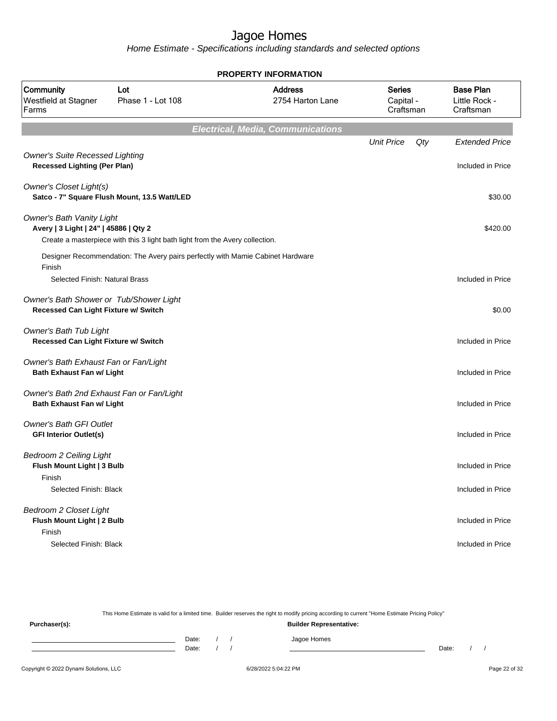Home Estimate - Specifications including standards and selected options

|                                                                                 |                                                                                | <b>PROPERTY INFORMATION</b>              |                                         |                                                |
|---------------------------------------------------------------------------------|--------------------------------------------------------------------------------|------------------------------------------|-----------------------------------------|------------------------------------------------|
| Community<br>Westfield at Stagner<br>Farms                                      | Lot<br>Phase 1 - Lot 108                                                       | <b>Address</b><br>2754 Harton Lane       | <b>Series</b><br>Capital -<br>Craftsman | <b>Base Plan</b><br>Little Rock -<br>Craftsman |
|                                                                                 |                                                                                | <b>Electrical, Media, Communications</b> |                                         |                                                |
|                                                                                 |                                                                                |                                          | <b>Unit Price</b><br>Qty                | <b>Extended Price</b>                          |
| <b>Owner's Suite Recessed Lighting</b><br><b>Recessed Lighting (Per Plan)</b>   |                                                                                |                                          |                                         | Included in Price                              |
| <b>Owner's Closet Light(s)</b>                                                  | Satco - 7" Square Flush Mount, 13.5 Watt/LED                                   |                                          |                                         | \$30.00                                        |
| <b>Owner's Bath Vanity Light</b><br>Avery   3 Light   24"   45886   Qty 2       | Create a masterpiece with this 3 light bath light from the Avery collection.   |                                          |                                         | \$420.00                                       |
|                                                                                 | Designer Recommendation: The Avery pairs perfectly with Mamie Cabinet Hardware |                                          |                                         |                                                |
| Finish<br>Selected Finish: Natural Brass                                        |                                                                                |                                          |                                         | Included in Price                              |
| Owner's Bath Shower or Tub/Shower Light<br>Recessed Can Light Fixture w/ Switch |                                                                                |                                          |                                         | \$0.00                                         |
| Owner's Bath Tub Light<br>Recessed Can Light Fixture w/ Switch                  |                                                                                |                                          |                                         | Included in Price                              |
| Owner's Bath Exhaust Fan or Fan/Light<br><b>Bath Exhaust Fan w/ Light</b>       |                                                                                |                                          |                                         | Included in Price                              |
| Owner's Bath 2nd Exhaust Fan or Fan/Light<br>Bath Exhaust Fan w/ Light          |                                                                                |                                          |                                         | Included in Price                              |
| Owner's Bath GFI Outlet<br><b>GFI Interior Outlet(s)</b>                        |                                                                                |                                          |                                         | Included in Price                              |
| <b>Bedroom 2 Ceiling Light</b><br>Flush Mount Light   3 Bulb                    |                                                                                |                                          |                                         | Included in Price                              |
| Finish<br>Selected Finish: Black                                                |                                                                                |                                          |                                         | Included in Price                              |
| <b>Bedroom 2 Closet Light</b><br>Flush Mount Light   2 Bulb<br>Finish           |                                                                                |                                          |                                         | Included in Price                              |
| Selected Finish: Black                                                          |                                                                                |                                          |                                         | Included in Price                              |

This Home Estimate is valid for a limited time. Builder reserves the right to modify pricing according to current "Home Estimate Pricing Policy"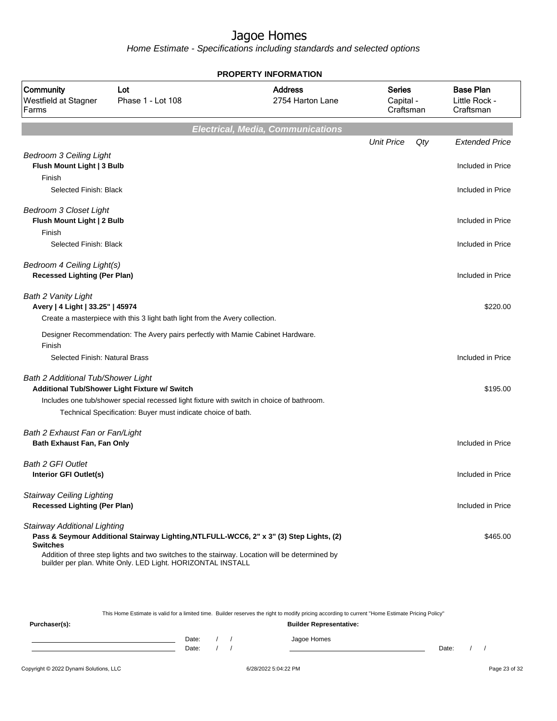Home Estimate - Specifications including standards and selected options

|                                                                         |                                                                                                                                                                                                                                                          | <b>PROPERTY INFORMATION</b>              |                                  |                                                |
|-------------------------------------------------------------------------|----------------------------------------------------------------------------------------------------------------------------------------------------------------------------------------------------------------------------------------------------------|------------------------------------------|----------------------------------|------------------------------------------------|
| Community<br>Westfield at Stagner<br>Farms                              | Lot<br>Phase 1 - Lot 108                                                                                                                                                                                                                                 | <b>Address</b><br>2754 Harton Lane       | Series<br>Capital -<br>Craftsman | <b>Base Plan</b><br>Little Rock -<br>Craftsman |
|                                                                         |                                                                                                                                                                                                                                                          | <b>Electrical, Media, Communications</b> |                                  |                                                |
|                                                                         |                                                                                                                                                                                                                                                          |                                          | <b>Unit Price</b><br>Qty         | <b>Extended Price</b>                          |
| <b>Bedroom 3 Ceiling Light</b><br>Flush Mount Light   3 Bulb<br>Finish  |                                                                                                                                                                                                                                                          |                                          |                                  | Included in Price                              |
| Selected Finish: Black                                                  |                                                                                                                                                                                                                                                          |                                          |                                  | Included in Price                              |
| <b>Bedroom 3 Closet Light</b><br>Flush Mount Light   2 Bulb             |                                                                                                                                                                                                                                                          |                                          |                                  | Included in Price                              |
| Finish<br>Selected Finish: Black                                        |                                                                                                                                                                                                                                                          |                                          |                                  | Included in Price                              |
|                                                                         |                                                                                                                                                                                                                                                          |                                          |                                  |                                                |
| Bedroom 4 Ceiling Light(s)<br><b>Recessed Lighting (Per Plan)</b>       |                                                                                                                                                                                                                                                          |                                          |                                  | Included in Price                              |
| Bath 2 Vanity Light<br>Avery   4 Light   33.25"   45974                 | Create a masterpiece with this 3 light bath light from the Avery collection.                                                                                                                                                                             |                                          |                                  | \$220.00                                       |
| Finish                                                                  | Designer Recommendation: The Avery pairs perfectly with Mamie Cabinet Hardware.                                                                                                                                                                          |                                          |                                  |                                                |
| Selected Finish: Natural Brass                                          |                                                                                                                                                                                                                                                          |                                          |                                  | Included in Price                              |
| Bath 2 Additional Tub/Shower Light                                      | Additional Tub/Shower Light Fixture w/ Switch                                                                                                                                                                                                            |                                          |                                  | \$195.00                                       |
|                                                                         | Includes one tub/shower special recessed light fixture with switch in choice of bathroom.<br>Technical Specification: Buyer must indicate choice of bath.                                                                                                |                                          |                                  |                                                |
| Bath 2 Exhaust Fan or Fan/Light<br>Bath Exhaust Fan, Fan Only           |                                                                                                                                                                                                                                                          |                                          |                                  | Included in Price                              |
| <b>Bath 2 GFI Outlet</b><br>Interior GFI Outlet(s)                      |                                                                                                                                                                                                                                                          |                                          |                                  | Included in Price                              |
| <b>Stairway Ceiling Lighting</b><br><b>Recessed Lighting (Per Plan)</b> |                                                                                                                                                                                                                                                          |                                          |                                  | Included in Price                              |
| Stairway Additional Lighting<br><b>Switches</b>                         | Pass & Seymour Additional Stairway Lighting, NTLFULL-WCC6, 2" x 3" (3) Step Lights, (2)<br>Addition of three step lights and two switches to the stairway. Location will be determined by<br>builder per plan. White Only. LED Light. HORIZONTAL INSTALL |                                          |                                  | \$465.00                                       |

This Home Estimate is valid for a limited time. Builder reserves the right to modify pricing according to current "Home Estimate Pricing Policy"

| Purchaser(s): |                |  | <b>Builder Representative:</b> |       |  |
|---------------|----------------|--|--------------------------------|-------|--|
|               | Date:<br>Date: |  | Jagoe Homes                    | Date: |  |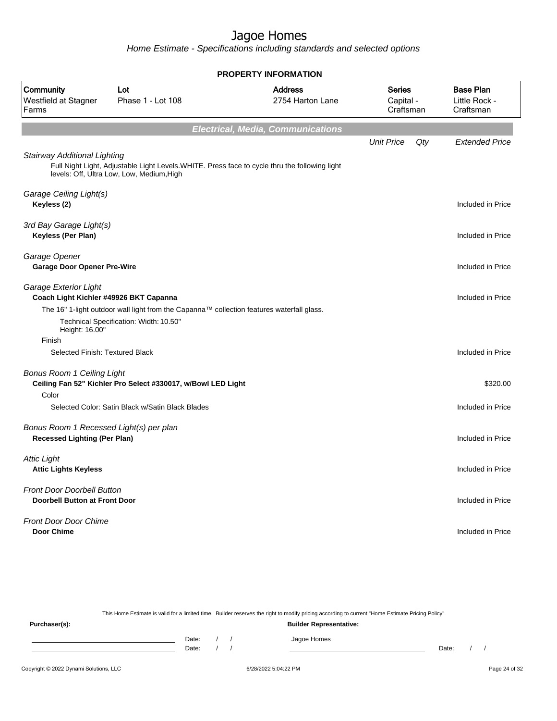|                                                                           |                                                                                                                                            | <b>PROPERTY INFORMATION</b>              |                                         |     |                                                |
|---------------------------------------------------------------------------|--------------------------------------------------------------------------------------------------------------------------------------------|------------------------------------------|-----------------------------------------|-----|------------------------------------------------|
| Community<br>Westfield at Stagner<br>Farms                                | Lot<br>Phase 1 - Lot 108                                                                                                                   | <b>Address</b><br>2754 Harton Lane       | <b>Series</b><br>Capital -<br>Craftsman |     | <b>Base Plan</b><br>Little Rock -<br>Craftsman |
|                                                                           |                                                                                                                                            | <b>Electrical, Media, Communications</b> |                                         |     |                                                |
|                                                                           |                                                                                                                                            |                                          | <b>Unit Price</b>                       | Qty | <b>Extended Price</b>                          |
| Stairway Additional Lighting                                              | Full Night Light, Adjustable Light Levels.WHITE. Press face to cycle thru the following light<br>levels: Off, Ultra Low, Low, Medium, High |                                          |                                         |     |                                                |
| Garage Ceiling Light(s)<br>Keyless (2)                                    |                                                                                                                                            |                                          |                                         |     | Included in Price                              |
| 3rd Bay Garage Light(s)<br><b>Keyless (Per Plan)</b>                      |                                                                                                                                            |                                          |                                         |     | Included in Price                              |
| Garage Opener<br><b>Garage Door Opener Pre-Wire</b>                       |                                                                                                                                            |                                          |                                         |     | Included in Price                              |
| Garage Exterior Light<br>Coach Light Kichler #49926 BKT Capanna           |                                                                                                                                            |                                          |                                         |     | Included in Price                              |
| Height: 16.00"                                                            | The 16" 1-light outdoor wall light from the Capanna™ collection features waterfall glass.<br>Technical Specification: Width: 10.50"        |                                          |                                         |     |                                                |
| Finish                                                                    |                                                                                                                                            |                                          |                                         |     |                                                |
| Selected Finish: Textured Black                                           |                                                                                                                                            |                                          |                                         |     | Included in Price                              |
| <b>Bonus Room 1 Ceiling Light</b>                                         | Ceiling Fan 52" Kichler Pro Select #330017, w/Bowl LED Light                                                                               |                                          |                                         |     | \$320.00                                       |
| Color                                                                     | Selected Color: Satin Black w/Satin Black Blades                                                                                           |                                          |                                         |     | Included in Price                              |
| Bonus Room 1 Recessed Light(s) per plan                                   |                                                                                                                                            |                                          |                                         |     |                                                |
| <b>Recessed Lighting (Per Plan)</b>                                       |                                                                                                                                            |                                          |                                         |     | Included in Price                              |
| <b>Attic Light</b><br><b>Attic Lights Keyless</b>                         |                                                                                                                                            |                                          |                                         |     | Included in Price                              |
| <b>Front Door Doorbell Button</b><br><b>Doorbell Button at Front Door</b> |                                                                                                                                            |                                          |                                         |     | Included in Price                              |
| <b>Front Door Door Chime</b><br><b>Door Chime</b>                         |                                                                                                                                            |                                          |                                         |     | Included in Price                              |

|               | This Home Estimate is valid for a limited time. Builder reserves the right to modify pricing according to current "Home Estimate Pricing Policy" |  |                                |       |  |
|---------------|--------------------------------------------------------------------------------------------------------------------------------------------------|--|--------------------------------|-------|--|
| Purchaser(s): |                                                                                                                                                  |  | <b>Builder Representative:</b> |       |  |
|               | Date:                                                                                                                                            |  | Jagoe Homes                    |       |  |
|               | Date:                                                                                                                                            |  |                                | Date: |  |
|               |                                                                                                                                                  |  |                                |       |  |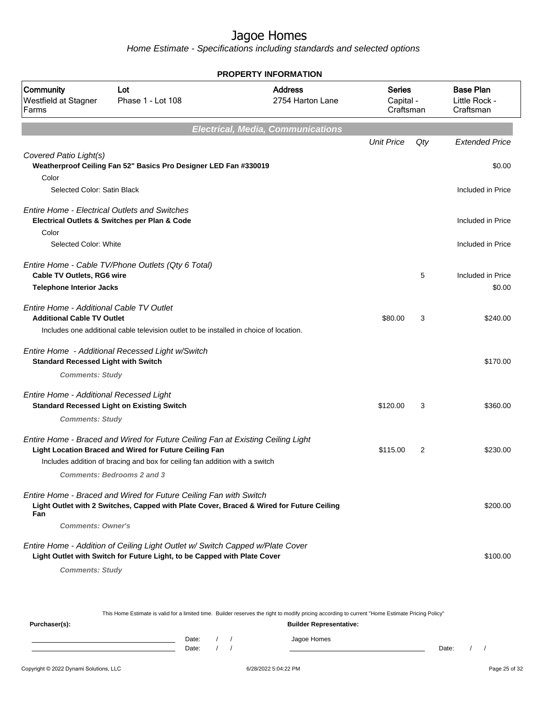Home Estimate - Specifications including standards and selected options

|                                                                               |                                                                                                                                                               | <b>PROPERTY INFORMATION</b>              |                                         |     |                                                |
|-------------------------------------------------------------------------------|---------------------------------------------------------------------------------------------------------------------------------------------------------------|------------------------------------------|-----------------------------------------|-----|------------------------------------------------|
| Community<br>Westfield at Stagner<br>Farms                                    | Lot<br>Phase 1 - Lot 108                                                                                                                                      | <b>Address</b><br>2754 Harton Lane       | <b>Series</b><br>Capital -<br>Craftsman |     | <b>Base Plan</b><br>Little Rock -<br>Craftsman |
|                                                                               |                                                                                                                                                               | <b>Electrical, Media, Communications</b> |                                         |     |                                                |
|                                                                               |                                                                                                                                                               |                                          | <b>Unit Price</b>                       | Qty | <b>Extended Price</b>                          |
| Covered Patio Light(s)                                                        | Weatherproof Ceiling Fan 52" Basics Pro Designer LED Fan #330019                                                                                              |                                          |                                         |     | \$0.00                                         |
| Color<br>Selected Color: Satin Black                                          |                                                                                                                                                               |                                          |                                         |     | Included in Price                              |
| Color                                                                         | <b>Entire Home - Electrical Outlets and Switches</b><br>Electrical Outlets & Switches per Plan & Code                                                         |                                          |                                         |     | Included in Price                              |
| Selected Color: White                                                         |                                                                                                                                                               |                                          |                                         |     | Included in Price                              |
| Cable TV Outlets, RG6 wire<br><b>Telephone Interior Jacks</b>                 | Entire Home - Cable TV/Phone Outlets (Qty 6 Total)                                                                                                            |                                          |                                         | 5   | Included in Price<br>\$0.00                    |
| Entire Home - Additional Cable TV Outlet<br><b>Additional Cable TV Outlet</b> |                                                                                                                                                               |                                          | \$80.00                                 | 3   | \$240.00                                       |
|                                                                               | Includes one additional cable television outlet to be installed in choice of location.                                                                        |                                          |                                         |     |                                                |
| <b>Standard Recessed Light with Switch</b>                                    | Entire Home - Additional Recessed Light w/Switch                                                                                                              |                                          |                                         |     | \$170.00                                       |
| <b>Comments: Study</b>                                                        |                                                                                                                                                               |                                          |                                         |     |                                                |
| Entire Home - Additional Recessed Light                                       | <b>Standard Recessed Light on Existing Switch</b>                                                                                                             |                                          | \$120.00                                | 3   | \$360.00                                       |
| <b>Comments: Study</b>                                                        |                                                                                                                                                               |                                          |                                         |     |                                                |
|                                                                               | Entire Home - Braced and Wired for Future Ceiling Fan at Existing Ceiling Light<br>Light Location Braced and Wired for Future Ceiling Fan                     |                                          | \$115.00                                | 2   | \$230.00                                       |
|                                                                               | Includes addition of bracing and box for ceiling fan addition with a switch                                                                                   |                                          |                                         |     |                                                |
|                                                                               | <b>Comments: Bedrooms 2 and 3</b>                                                                                                                             |                                          |                                         |     |                                                |
| Fan                                                                           | Entire Home - Braced and Wired for Future Ceiling Fan with Switch<br>Light Outlet with 2 Switches, Capped with Plate Cover, Braced & Wired for Future Ceiling |                                          |                                         |     | \$200.00                                       |
| <b>Comments: Owner's</b>                                                      |                                                                                                                                                               |                                          |                                         |     |                                                |
|                                                                               | Entire Home - Addition of Ceiling Light Outlet w/ Switch Capped w/Plate Cover<br>Light Outlet with Switch for Future Light, to be Capped with Plate Cover     |                                          |                                         |     | \$100.00                                       |
| <b>Comments: Study</b>                                                        |                                                                                                                                                               |                                          |                                         |     |                                                |
|                                                                               |                                                                                                                                                               |                                          |                                         |     |                                                |
|                                                                               |                                                                                                                                                               |                                          |                                         |     |                                                |

This Home Estimate is valid for a limited time. Builder reserves the right to modify pricing according to current "Home Estimate Pricing Policy"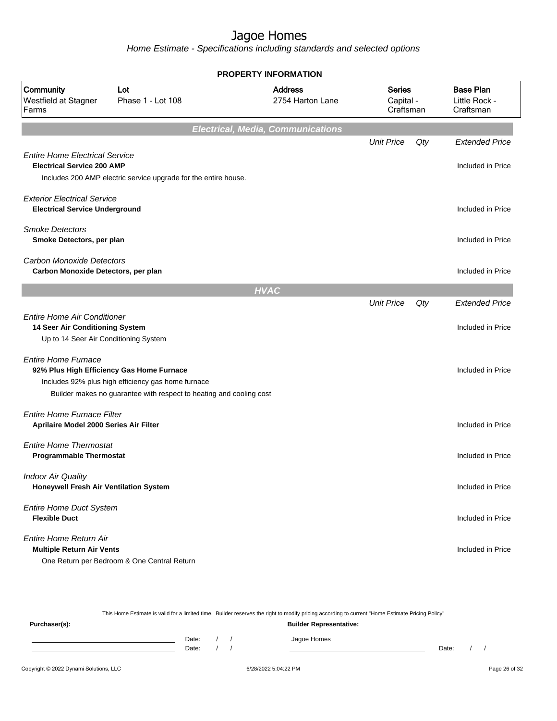Home Estimate - Specifications including standards and selected options

| <b>PROPERTY INFORMATION</b>                                                 |                                                                                                                           |                                          |                                         |     |                                                |  |  |
|-----------------------------------------------------------------------------|---------------------------------------------------------------------------------------------------------------------------|------------------------------------------|-----------------------------------------|-----|------------------------------------------------|--|--|
| Community<br>Westfield at Stagner<br>Farms                                  | Lot<br>Phase 1 - Lot 108                                                                                                  | <b>Address</b><br>2754 Harton Lane       | <b>Series</b><br>Capital -<br>Craftsman |     | <b>Base Plan</b><br>Little Rock -<br>Craftsman |  |  |
|                                                                             |                                                                                                                           | <b>Electrical, Media, Communications</b> |                                         |     |                                                |  |  |
|                                                                             |                                                                                                                           |                                          | <b>Unit Price</b>                       | Qty | <b>Extended Price</b>                          |  |  |
| <b>Entire Home Electrical Service</b><br><b>Electrical Service 200 AMP</b>  | Includes 200 AMP electric service upgrade for the entire house.                                                           |                                          |                                         |     | Included in Price                              |  |  |
| <b>Exterior Electrical Service</b><br><b>Electrical Service Underground</b> |                                                                                                                           |                                          |                                         |     | Included in Price                              |  |  |
| <b>Smoke Detectors</b><br>Smoke Detectors, per plan                         |                                                                                                                           |                                          |                                         |     | Included in Price                              |  |  |
| <b>Carbon Monoxide Detectors</b><br>Carbon Monoxide Detectors, per plan     |                                                                                                                           |                                          |                                         |     | Included in Price                              |  |  |
|                                                                             |                                                                                                                           | <b>HVAC</b>                              |                                         |     |                                                |  |  |
| <b>Entire Home Air Conditioner</b>                                          |                                                                                                                           |                                          | <b>Unit Price</b>                       | Qty | <b>Extended Price</b>                          |  |  |
| 14 Seer Air Conditioning System<br>Up to 14 Seer Air Conditioning System    |                                                                                                                           |                                          |                                         |     | Included in Price                              |  |  |
| <b>Entire Home Furnace</b><br>92% Plus High Efficiency Gas Home Furnace     | Includes 92% plus high efficiency gas home furnace<br>Builder makes no guarantee with respect to heating and cooling cost |                                          |                                         |     | Included in Price                              |  |  |
| Entire Home Furnace Filter<br>Aprilaire Model 2000 Series Air Filter        |                                                                                                                           |                                          |                                         |     | Included in Price                              |  |  |
| <b>Entire Home Thermostat</b><br><b>Programmable Thermostat</b>             |                                                                                                                           |                                          |                                         |     | Included in Price                              |  |  |
| <b>Indoor Air Quality</b><br>Honeywell Fresh Air Ventilation System         |                                                                                                                           |                                          |                                         |     | Included in Price                              |  |  |
| <b>Entire Home Duct System</b><br><b>Flexible Duct</b>                      |                                                                                                                           |                                          |                                         |     | Included in Price                              |  |  |
| Entire Home Return Air<br><b>Multiple Return Air Vents</b>                  | One Return per Bedroom & One Central Return                                                                               |                                          |                                         |     | Included in Price                              |  |  |

Copyright © 2022 Dynami Solutions, LLC <br>
6/28/2022 5:04:22 PM e128 of 32 This Home Estimate is valid for a limited time. Builder reserves the right to modify pricing according to current "Home Estimate Pricing Policy" **Purchaser(s): Builder Representative:** Date: / / Jagoe Homes<br>Date: / / Jagoe Homes Date: / / **Date: / / 2006** Date: / / / Date: / / /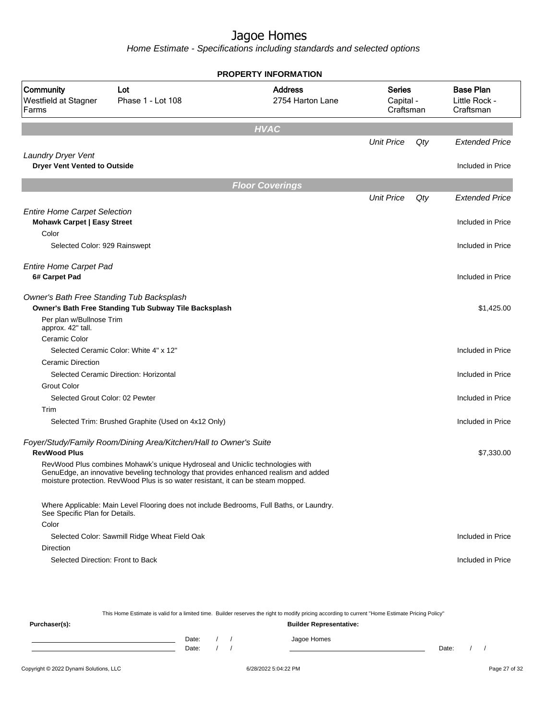Home Estimate - Specifications including standards and selected options

|                                                                           |                                                                                                                                                                                                                                                           | <b>PROPERTY INFORMATION</b>        |                                  |     |                                                |
|---------------------------------------------------------------------------|-----------------------------------------------------------------------------------------------------------------------------------------------------------------------------------------------------------------------------------------------------------|------------------------------------|----------------------------------|-----|------------------------------------------------|
| Community<br>Westfield at Stagner<br>Farms                                | Lot<br>Phase 1 - Lot 108                                                                                                                                                                                                                                  | <b>Address</b><br>2754 Harton Lane | Series<br>Capital -<br>Craftsman |     | <b>Base Plan</b><br>Little Rock -<br>Craftsman |
|                                                                           |                                                                                                                                                                                                                                                           | <b>HVAC</b>                        |                                  |     |                                                |
|                                                                           |                                                                                                                                                                                                                                                           |                                    | <b>Unit Price</b>                | Qty | <b>Extended Price</b>                          |
| Laundry Dryer Vent<br><b>Dryer Vent Vented to Outside</b>                 |                                                                                                                                                                                                                                                           |                                    |                                  |     | Included in Price                              |
|                                                                           |                                                                                                                                                                                                                                                           | <b>Floor Coverings</b>             |                                  |     |                                                |
|                                                                           |                                                                                                                                                                                                                                                           |                                    | <b>Unit Price</b>                | Qty | <b>Extended Price</b>                          |
| <b>Entire Home Carpet Selection</b><br><b>Mohawk Carpet   Easy Street</b> |                                                                                                                                                                                                                                                           |                                    |                                  |     | Included in Price                              |
| Color                                                                     |                                                                                                                                                                                                                                                           |                                    |                                  |     |                                                |
| Selected Color: 929 Rainswept                                             |                                                                                                                                                                                                                                                           |                                    |                                  |     | Included in Price                              |
| <b>Entire Home Carpet Pad</b><br>6# Carpet Pad                            |                                                                                                                                                                                                                                                           |                                    |                                  |     | Included in Price                              |
|                                                                           | Owner's Bath Free Standing Tub Backsplash<br>Owner's Bath Free Standing Tub Subway Tile Backsplash                                                                                                                                                        |                                    |                                  |     | \$1,425.00                                     |
| Per plan w/Bullnose Trim<br>approx. 42" tall.                             |                                                                                                                                                                                                                                                           |                                    |                                  |     |                                                |
| Ceramic Color                                                             |                                                                                                                                                                                                                                                           |                                    |                                  |     |                                                |
|                                                                           | Selected Ceramic Color: White 4" x 12"                                                                                                                                                                                                                    |                                    |                                  |     | Included in Price                              |
| <b>Ceramic Direction</b>                                                  |                                                                                                                                                                                                                                                           |                                    |                                  |     |                                                |
|                                                                           | Selected Ceramic Direction: Horizontal                                                                                                                                                                                                                    |                                    |                                  |     | Included in Price                              |
| <b>Grout Color</b>                                                        |                                                                                                                                                                                                                                                           |                                    |                                  |     |                                                |
| Selected Grout Color: 02 Pewter                                           |                                                                                                                                                                                                                                                           |                                    |                                  |     | Included in Price                              |
| Trim                                                                      |                                                                                                                                                                                                                                                           |                                    |                                  |     |                                                |
|                                                                           | Selected Trim: Brushed Graphite (Used on 4x12 Only)                                                                                                                                                                                                       |                                    |                                  |     | Included in Price                              |
| <b>RevWood Plus</b>                                                       | Foyer/Study/Family Room/Dining Area/Kitchen/Hall to Owner's Suite                                                                                                                                                                                         |                                    |                                  |     | \$7,330.00                                     |
|                                                                           | RevWood Plus combines Mohawk's unique Hydroseal and Uniclic technologies with<br>GenuEdge, an innovative beveling technology that provides enhanced realism and added<br>moisture protection. RevWood Plus is so water resistant, it can be steam mopped. |                                    |                                  |     |                                                |
| See Specific Plan for Details.                                            | Where Applicable: Main Level Flooring does not include Bedrooms, Full Baths, or Laundry.                                                                                                                                                                  |                                    |                                  |     |                                                |
| Color                                                                     |                                                                                                                                                                                                                                                           |                                    |                                  |     |                                                |
|                                                                           | Selected Color: Sawmill Ridge Wheat Field Oak                                                                                                                                                                                                             |                                    |                                  |     | Included in Price                              |
| Direction                                                                 |                                                                                                                                                                                                                                                           |                                    |                                  |     |                                                |
| Selected Direction: Front to Back                                         |                                                                                                                                                                                                                                                           |                                    |                                  |     | Included in Price                              |
|                                                                           |                                                                                                                                                                                                                                                           |                                    |                                  |     |                                                |

This Home Estimate is valid for a limited time. Builder reserves the right to modify pricing according to current "Home Estimate Pricing Policy" **Purchaser(s): Builder Representative:** Date: / / Jagoe Homes<br>Date: / / Jagoe Homes Date: / / Date: / /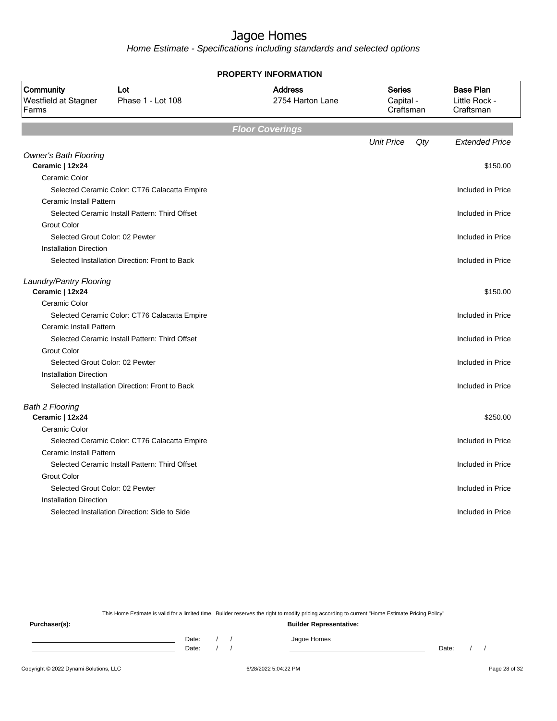Home Estimate - Specifications including standards and selected options

| Community<br>Westfield at Stagner<br>Farms                       | Lot<br>Phase 1 - Lot 108                       | <b>Address</b><br>2754 Harton Lane | <b>Series</b><br>Capital -<br>Craftsman | <b>Base Plan</b><br>Little Rock -<br>Craftsman |
|------------------------------------------------------------------|------------------------------------------------|------------------------------------|-----------------------------------------|------------------------------------------------|
|                                                                  |                                                | <b>Floor Coverings</b>             |                                         |                                                |
|                                                                  |                                                |                                    | <b>Unit Price</b>                       | <b>Extended Price</b><br>Qty                   |
| <b>Owner's Bath Flooring</b><br>Ceramic   12x24                  |                                                |                                    |                                         | \$150.00                                       |
| Ceramic Color                                                    |                                                |                                    |                                         |                                                |
|                                                                  | Selected Ceramic Color: CT76 Calacatta Empire  |                                    |                                         | Included in Price                              |
| Ceramic Install Pattern                                          |                                                |                                    |                                         |                                                |
|                                                                  | Selected Ceramic Install Pattern: Third Offset |                                    |                                         | Included in Price                              |
| <b>Grout Color</b>                                               |                                                |                                    |                                         |                                                |
| Selected Grout Color: 02 Pewter<br><b>Installation Direction</b> |                                                |                                    |                                         | Included in Price                              |
|                                                                  | Selected Installation Direction: Front to Back |                                    |                                         | Included in Price                              |
| Laundry/Pantry Flooring                                          |                                                |                                    |                                         |                                                |
| Ceramic   12x24                                                  |                                                |                                    |                                         | \$150.00                                       |
| Ceramic Color                                                    |                                                |                                    |                                         |                                                |
|                                                                  | Selected Ceramic Color: CT76 Calacatta Empire  |                                    |                                         | Included in Price                              |
| Ceramic Install Pattern                                          |                                                |                                    |                                         |                                                |
|                                                                  | Selected Ceramic Install Pattern: Third Offset |                                    |                                         | Included in Price                              |
| <b>Grout Color</b>                                               |                                                |                                    |                                         |                                                |
| Selected Grout Color: 02 Pewter                                  |                                                |                                    |                                         | Included in Price                              |
| Installation Direction                                           | Selected Installation Direction: Front to Back |                                    |                                         | Included in Price                              |
|                                                                  |                                                |                                    |                                         |                                                |
| <b>Bath 2 Flooring</b><br>Ceramic   12x24                        |                                                |                                    |                                         | \$250.00                                       |
| Ceramic Color                                                    |                                                |                                    |                                         |                                                |
|                                                                  | Selected Ceramic Color: CT76 Calacatta Empire  |                                    |                                         | Included in Price                              |
| Ceramic Install Pattern                                          |                                                |                                    |                                         |                                                |
|                                                                  | Selected Ceramic Install Pattern: Third Offset |                                    |                                         | Included in Price                              |
| <b>Grout Color</b>                                               |                                                |                                    |                                         |                                                |
| Selected Grout Color: 02 Pewter                                  |                                                |                                    |                                         | Included in Price                              |
| <b>Installation Direction</b>                                    |                                                |                                    |                                         |                                                |
|                                                                  | Selected Installation Direction: Side to Side  |                                    |                                         | Included in Price                              |

**PROPERTY INFORMATION**

This Home Estimate is valid for a limited time. Builder reserves the right to modify pricing according to current "Home Estimate Pricing Policy"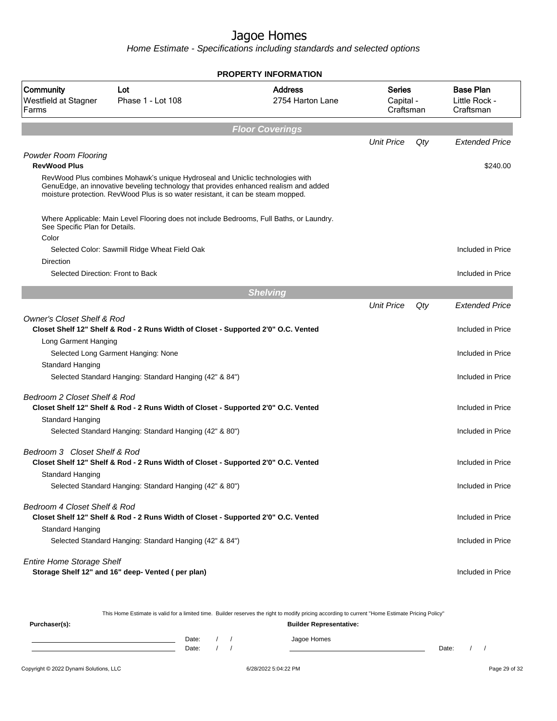Home Estimate - Specifications including standards and selected options

|                                                    |                                                                                                                                                                                                                                                           | PROPERTY INFORMATION               |                                         |     |                                                |
|----------------------------------------------------|-----------------------------------------------------------------------------------------------------------------------------------------------------------------------------------------------------------------------------------------------------------|------------------------------------|-----------------------------------------|-----|------------------------------------------------|
| Community<br>Westfield at Stagner<br>Farms         | Lot<br>Phase 1 - Lot 108                                                                                                                                                                                                                                  | <b>Address</b><br>2754 Harton Lane | <b>Series</b><br>Capital -<br>Craftsman |     | <b>Base Plan</b><br>Little Rock -<br>Craftsman |
|                                                    |                                                                                                                                                                                                                                                           | <b>Floor Coverings</b>             |                                         |     |                                                |
|                                                    |                                                                                                                                                                                                                                                           |                                    | <b>Unit Price</b>                       | Qty | <b>Extended Price</b>                          |
| <b>Powder Room Flooring</b><br><b>RevWood Plus</b> |                                                                                                                                                                                                                                                           |                                    |                                         |     | \$240.00                                       |
|                                                    | RevWood Plus combines Mohawk's unique Hydroseal and Uniclic technologies with<br>GenuEdge, an innovative beveling technology that provides enhanced realism and added<br>moisture protection. RevWood Plus is so water resistant, it can be steam mopped. |                                    |                                         |     |                                                |
| See Specific Plan for Details.                     | Where Applicable: Main Level Flooring does not include Bedrooms, Full Baths, or Laundry.                                                                                                                                                                  |                                    |                                         |     |                                                |
| Color                                              | Selected Color: Sawmill Ridge Wheat Field Oak                                                                                                                                                                                                             |                                    |                                         |     | Included in Price                              |
| Direction                                          |                                                                                                                                                                                                                                                           |                                    |                                         |     |                                                |
| Selected Direction: Front to Back                  |                                                                                                                                                                                                                                                           |                                    |                                         |     | Included in Price                              |
|                                                    |                                                                                                                                                                                                                                                           | <b>Shelving</b>                    |                                         |     |                                                |
|                                                    |                                                                                                                                                                                                                                                           |                                    | <b>Unit Price</b>                       | Qty | <b>Extended Price</b>                          |
| <b>Owner's Closet Shelf &amp; Rod</b>              | Closet Shelf 12" Shelf & Rod - 2 Runs Width of Closet - Supported 2'0" O.C. Vented                                                                                                                                                                        |                                    |                                         |     | Included in Price                              |
| Long Garment Hanging                               |                                                                                                                                                                                                                                                           |                                    |                                         |     |                                                |
|                                                    | Selected Long Garment Hanging: None                                                                                                                                                                                                                       |                                    |                                         |     | Included in Price                              |
| Standard Hanging                                   | Selected Standard Hanging: Standard Hanging (42" & 84")                                                                                                                                                                                                   |                                    |                                         |     | Included in Price                              |
| Bedroom 2 Closet Shelf & Rod<br>Standard Hanging   | Closet Shelf 12" Shelf & Rod - 2 Runs Width of Closet - Supported 2'0" O.C. Vented                                                                                                                                                                        |                                    |                                         |     | Included in Price                              |
|                                                    | Selected Standard Hanging: Standard Hanging (42" & 80")                                                                                                                                                                                                   |                                    |                                         |     | Included in Price                              |
| Bedroom 3 Closet Shelf & Rod<br>Standard Hanging   | Closet Shelf 12" Shelf & Rod - 2 Runs Width of Closet - Supported 2'0" O.C. Vented                                                                                                                                                                        |                                    |                                         |     | Included in Price                              |
|                                                    | Selected Standard Hanging: Standard Hanging (42" & 80")                                                                                                                                                                                                   |                                    |                                         |     | Included in Price                              |
| Bedroom 4 Closet Shelf & Rod<br>Standard Hanging   | Closet Shelf 12" Shelf & Rod - 2 Runs Width of Closet - Supported 2'0" O.C. Vented                                                                                                                                                                        |                                    |                                         |     | Included in Price                              |
|                                                    | Selected Standard Hanging: Standard Hanging (42" & 84")                                                                                                                                                                                                   |                                    |                                         |     | Included in Price                              |
| <b>Entire Home Storage Shelf</b>                   | Storage Shelf 12" and 16" deep- Vented (per plan)                                                                                                                                                                                                         |                                    |                                         |     | Included in Price                              |

This Home Estimate is valid for a limited time. Builder reserves the right to modify pricing according to current "Home Estimate Pricing Policy"

**Purchaser(s): Builder Representative:** Date: / / Jagoe Homes<br>Date: / / Jagoe Homes Date: / / **Date: / / 2006** Date: / / / Date: / / /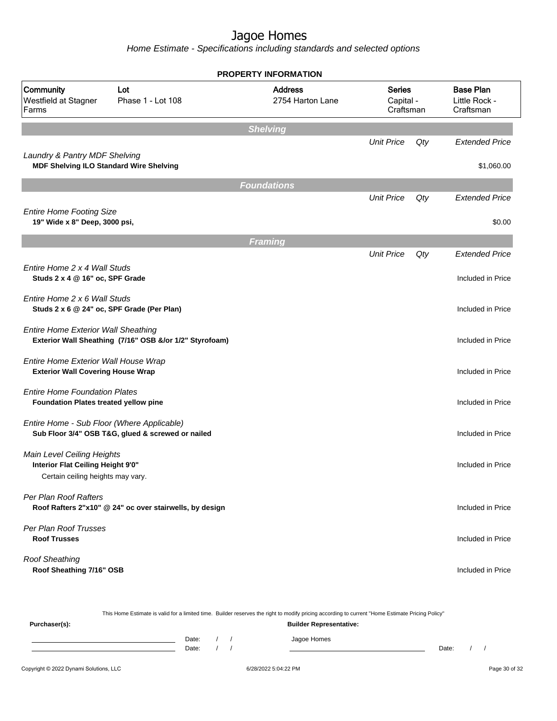Home Estimate - Specifications including standards and selected options

|                                                                                                      |                                                         | <b>PROPERTY INFORMATION</b>        |                                         |     |                                                |
|------------------------------------------------------------------------------------------------------|---------------------------------------------------------|------------------------------------|-----------------------------------------|-----|------------------------------------------------|
| Community<br>Westfield at Stagner<br>Farms                                                           | Lot<br>Phase 1 - Lot 108                                | <b>Address</b><br>2754 Harton Lane | <b>Series</b><br>Capital -<br>Craftsman |     | <b>Base Plan</b><br>Little Rock -<br>Craftsman |
|                                                                                                      |                                                         | <b>Shelving</b>                    |                                         |     |                                                |
|                                                                                                      |                                                         |                                    | <b>Unit Price</b>                       | Qty | <b>Extended Price</b>                          |
| Laundry & Pantry MDF Shelving<br><b>MDF Shelving ILO Standard Wire Shelving</b>                      |                                                         |                                    |                                         |     | \$1,060.00                                     |
|                                                                                                      |                                                         | <b>Foundations</b>                 |                                         |     |                                                |
|                                                                                                      |                                                         |                                    | <b>Unit Price</b>                       | Qty | <b>Extended Price</b>                          |
| <b>Entire Home Footing Size</b><br>19" Wide x 8" Deep, 3000 psi,                                     |                                                         |                                    |                                         |     | \$0.00                                         |
|                                                                                                      |                                                         | <b>Framing</b>                     |                                         |     |                                                |
|                                                                                                      |                                                         |                                    | <b>Unit Price</b>                       | Qty | <b>Extended Price</b>                          |
| Entire Home 2 x 4 Wall Studs<br>Studs 2 x 4 @ 16" oc, SPF Grade                                      |                                                         |                                    |                                         |     | Included in Price                              |
| Entire Home 2 x 6 Wall Studs<br>Studs 2 x 6 @ 24" oc, SPF Grade (Per Plan)                           |                                                         |                                    |                                         |     | Included in Price                              |
| <b>Entire Home Exterior Wall Sheathing</b>                                                           | Exterior Wall Sheathing (7/16" OSB &/or 1/2" Styrofoam) |                                    |                                         |     | Included in Price                              |
| Entire Home Exterior Wall House Wrap<br><b>Exterior Wall Covering House Wrap</b>                     |                                                         |                                    |                                         |     | Included in Price                              |
| <b>Entire Home Foundation Plates</b><br>Foundation Plates treated yellow pine                        |                                                         |                                    |                                         |     | Included in Price                              |
| Entire Home - Sub Floor (Where Applicable)                                                           | Sub Floor 3/4" OSB T&G, glued & screwed or nailed       |                                    |                                         |     | Included in Price                              |
| Main Level Ceiling Heights<br>Interior Flat Ceiling Height 9'0"<br>Certain ceiling heights may vary. |                                                         |                                    |                                         |     | Included in Price                              |
| Per Plan Roof Rafters                                                                                | Roof Rafters 2"x10" @ 24" oc over stairwells, by design |                                    |                                         |     | Included in Price                              |
| Per Plan Roof Trusses<br><b>Roof Trusses</b>                                                         |                                                         |                                    |                                         |     | Included in Price                              |
| <b>Roof Sheathing</b><br>Roof Sheathing 7/16" OSB                                                    |                                                         |                                    |                                         |     | Included in Price                              |

This Home Estimate is valid for a limited time. Builder reserves the right to modify pricing according to current "Home Estimate Pricing Policy" **Purchaser(s): Builder Representative:** Date: / / Jagoe Homes<br>Date: / / Jagoe Homes Date: / / Date: / /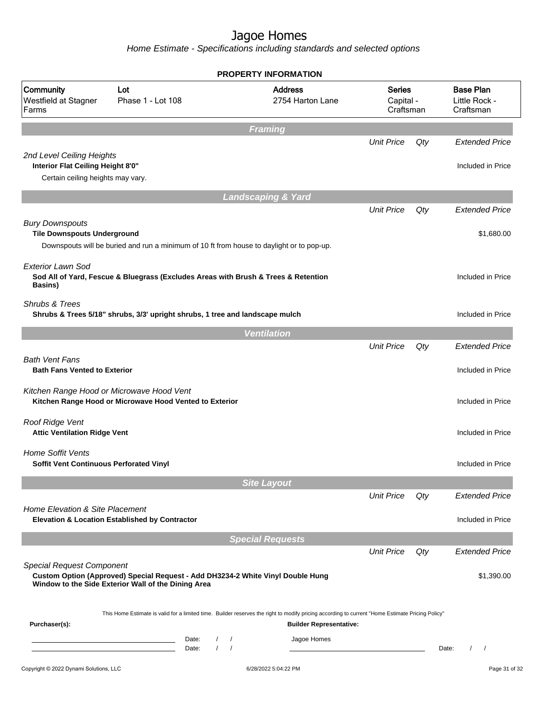|                                                                                                     |                                                                                                                                        | <b>PROPERTY INFORMATION</b>                                                                                                                                                        |                                         |     |                                                |
|-----------------------------------------------------------------------------------------------------|----------------------------------------------------------------------------------------------------------------------------------------|------------------------------------------------------------------------------------------------------------------------------------------------------------------------------------|-----------------------------------------|-----|------------------------------------------------|
| Community<br>Westfield at Stagner<br>Farms                                                          | Lot<br>Phase 1 - Lot 108                                                                                                               | <b>Address</b><br>2754 Harton Lane                                                                                                                                                 | <b>Series</b><br>Capital -<br>Craftsman |     | <b>Base Plan</b><br>Little Rock -<br>Craftsman |
|                                                                                                     |                                                                                                                                        | <b>Framing</b>                                                                                                                                                                     |                                         |     |                                                |
|                                                                                                     |                                                                                                                                        |                                                                                                                                                                                    | <b>Unit Price</b>                       | Qty | <b>Extended Price</b>                          |
| 2nd Level Ceiling Heights<br>Interior Flat Ceiling Height 8'0"<br>Certain ceiling heights may vary. |                                                                                                                                        |                                                                                                                                                                                    |                                         |     | Included in Price                              |
|                                                                                                     |                                                                                                                                        | <b>Landscaping &amp; Yard</b>                                                                                                                                                      |                                         |     |                                                |
|                                                                                                     |                                                                                                                                        |                                                                                                                                                                                    | <b>Unit Price</b>                       | Qty | <b>Extended Price</b>                          |
| <b>Bury Downspouts</b><br><b>Tile Downspouts Underground</b>                                        | Downspouts will be buried and run a minimum of 10 ft from house to daylight or to pop-up.                                              |                                                                                                                                                                                    |                                         |     | \$1,680.00                                     |
| <b>Exterior Lawn Sod</b><br>Basins)                                                                 | Sod All of Yard, Fescue & Bluegrass (Excludes Areas with Brush & Trees & Retention                                                     |                                                                                                                                                                                    |                                         |     | Included in Price                              |
| Shrubs & Trees                                                                                      | Shrubs & Trees 5/18" shrubs, 3/3' upright shrubs, 1 tree and landscape mulch                                                           |                                                                                                                                                                                    |                                         |     | Included in Price                              |
|                                                                                                     |                                                                                                                                        | <b>Ventilation</b>                                                                                                                                                                 |                                         |     |                                                |
|                                                                                                     |                                                                                                                                        |                                                                                                                                                                                    | <b>Unit Price</b>                       | Qty | <b>Extended Price</b>                          |
| <b>Bath Vent Fans</b><br><b>Bath Fans Vented to Exterior</b>                                        |                                                                                                                                        |                                                                                                                                                                                    |                                         |     | Included in Price                              |
|                                                                                                     | Kitchen Range Hood or Microwave Hood Vent<br>Kitchen Range Hood or Microwave Hood Vented to Exterior                                   |                                                                                                                                                                                    |                                         |     | Included in Price                              |
| Roof Ridge Vent<br><b>Attic Ventilation Ridge Vent</b>                                              |                                                                                                                                        |                                                                                                                                                                                    |                                         |     | Included in Price                              |
| <b>Home Soffit Vents</b><br>Soffit Vent Continuous Perforated Vinyl                                 |                                                                                                                                        |                                                                                                                                                                                    |                                         |     | Included in Price                              |
|                                                                                                     |                                                                                                                                        | <b>Site Layout</b>                                                                                                                                                                 |                                         |     |                                                |
| Home Elevation & Site Placement                                                                     |                                                                                                                                        |                                                                                                                                                                                    | <b>Unit Price</b>                       | Qty | <b>Extended Price</b>                          |
|                                                                                                     | <b>Elevation &amp; Location Established by Contractor</b>                                                                              |                                                                                                                                                                                    |                                         |     | Included in Price                              |
|                                                                                                     |                                                                                                                                        | <b>Special Requests</b>                                                                                                                                                            |                                         |     |                                                |
|                                                                                                     |                                                                                                                                        |                                                                                                                                                                                    | <b>Unit Price</b>                       | Qty | <b>Extended Price</b>                          |
| <b>Special Request Component</b>                                                                    | Custom Option (Approved) Special Request - Add DH3234-2 White Vinyl Double Hung<br>Window to the Side Exterior Wall of the Dining Area |                                                                                                                                                                                    |                                         |     | \$1,390.00                                     |
| Purchaser(s):                                                                                       |                                                                                                                                        | This Home Estimate is valid for a limited time. Builder reserves the right to modify pricing according to current "Home Estimate Pricing Policy"<br><b>Builder Representative:</b> |                                         |     |                                                |
|                                                                                                     | Date:<br>$\left  \right $<br>$\sqrt{ }$<br>Date:                                                                                       | Jagoe Homes<br>$\prime$                                                                                                                                                            |                                         |     | Date:<br>$\prime$<br>$\prime$                  |
| Copyright © 2022 Dynami Solutions, LLC                                                              |                                                                                                                                        | 6/28/2022 5:04:22 PM                                                                                                                                                               |                                         |     | Page 31 of 32                                  |